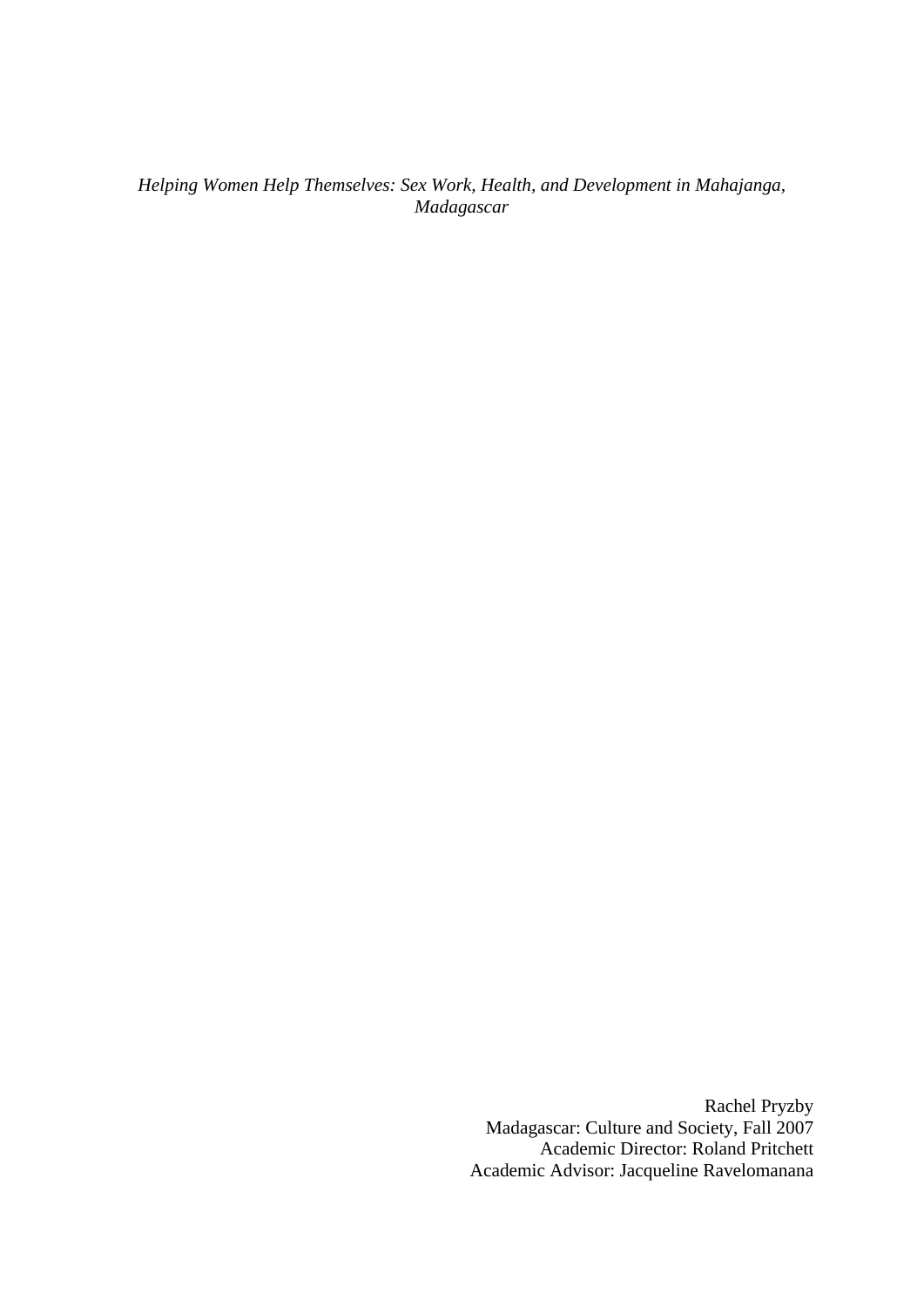*Helping Women Help Themselves: Sex Work, Health, and Development in Mahajanga, Madagascar* 

> Rachel Pryzby Madagascar: Culture and Society, Fall 2007 Academic Director: Roland Pritchett Academic Advisor: Jacqueline Ravelomanana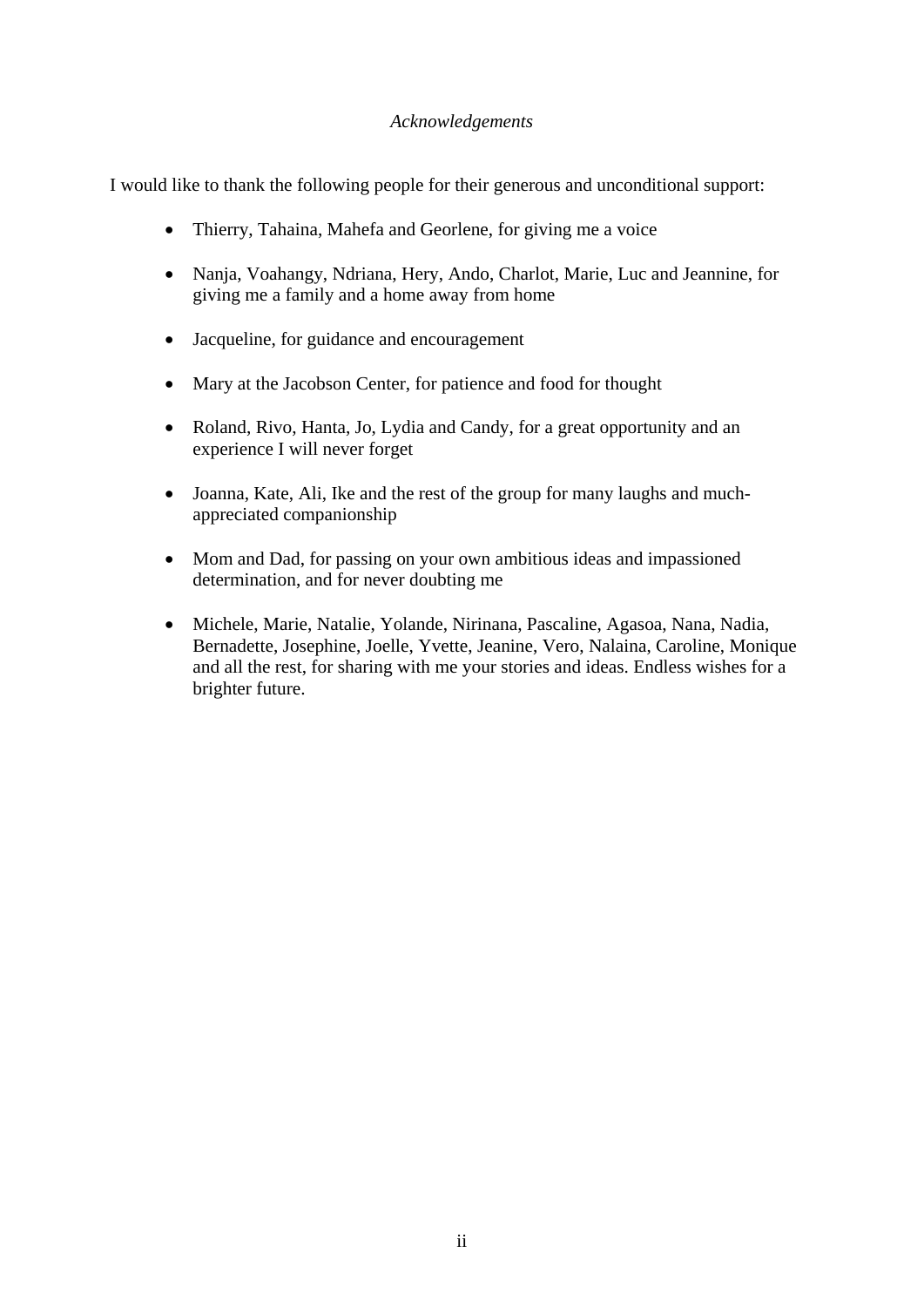# *Acknowledgements*

I would like to thank the following people for their generous and unconditional support:

- Thierry, Tahaina, Mahefa and Georlene, for giving me a voice
- Nanja, Voahangy, Ndriana, Hery, Ando, Charlot, Marie, Luc and Jeannine, for giving me a family and a home away from home
- Jacqueline, for guidance and encouragement
- Mary at the Jacobson Center, for patience and food for thought
- Roland, Rivo, Hanta, Jo, Lydia and Candy, for a great opportunity and an experience I will never forget
- Joanna, Kate, Ali, Ike and the rest of the group for many laughs and muchappreciated companionship
- Mom and Dad, for passing on your own ambitious ideas and impassioned determination, and for never doubting me
- Michele, Marie, Natalie, Yolande, Nirinana, Pascaline, Agasoa, Nana, Nadia, Bernadette, Josephine, Joelle, Yvette, Jeanine, Vero, Nalaina, Caroline, Monique and all the rest, for sharing with me your stories and ideas. Endless wishes for a brighter future.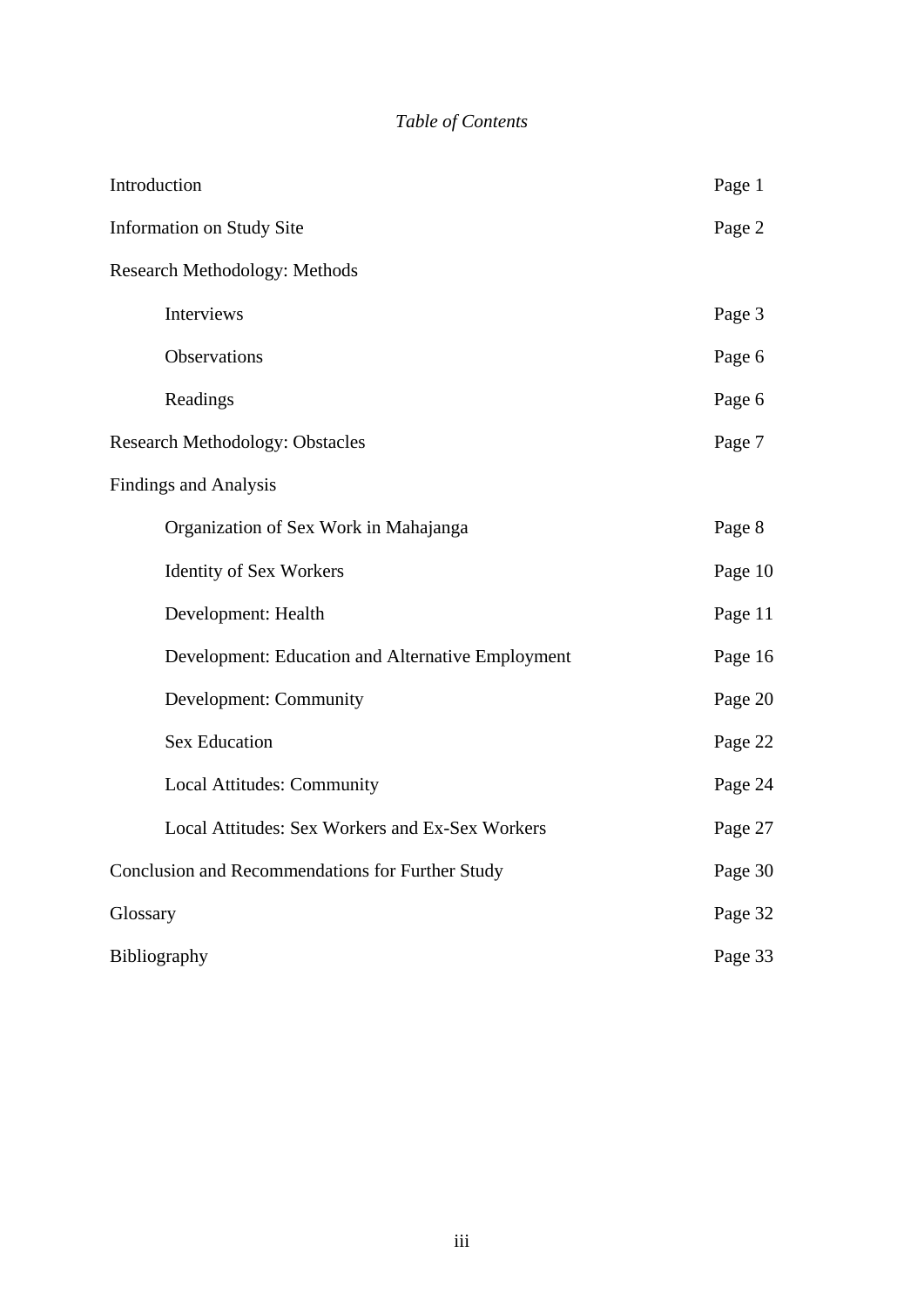# *Table of Contents*

| Introduction                                      | Page 1  |
|---------------------------------------------------|---------|
| <b>Information on Study Site</b>                  | Page 2  |
| <b>Research Methodology: Methods</b>              |         |
| Interviews                                        | Page 3  |
| Observations                                      | Page 6  |
| Readings                                          | Page 6  |
| <b>Research Methodology: Obstacles</b>            | Page 7  |
| <b>Findings and Analysis</b>                      |         |
| Organization of Sex Work in Mahajanga             | Page 8  |
| <b>Identity of Sex Workers</b>                    | Page 10 |
| Development: Health                               | Page 11 |
| Development: Education and Alternative Employment | Page 16 |
| Development: Community                            | Page 20 |
| <b>Sex Education</b>                              | Page 22 |
| Local Attitudes: Community                        | Page 24 |
| Local Attitudes: Sex Workers and Ex-Sex Workers   | Page 27 |
| Conclusion and Recommendations for Further Study  | Page 30 |
| Glossary                                          | Page 32 |
| Bibliography                                      | Page 33 |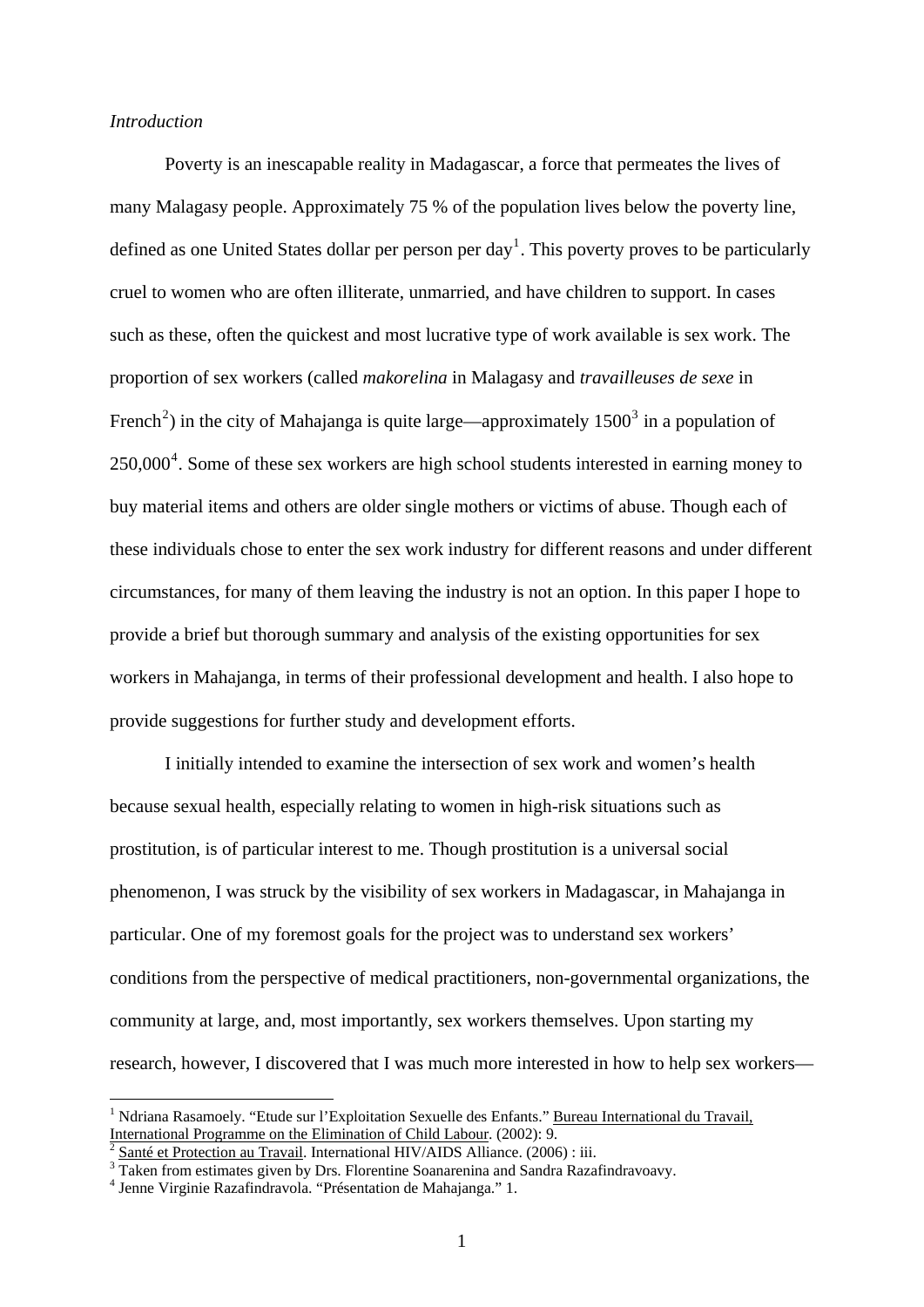## *Introduction*

 Poverty is an inescapable reality in Madagascar, a force that permeates the lives of many Malagasy people. Approximately 75 % of the population lives below the poverty line, defined as one United States dollar per person per day<sup>[1](#page-3-0)</sup>. This poverty proves to be particularly cruel to women who are often illiterate, unmarried, and have children to support. In cases such as these, often the quickest and most lucrative type of work available is sex work. The proportion of sex workers (called *makorelina* in Malagasy and *travailleuses de sexe* in French<sup>[2](#page-3-1)</sup>) in the city of Mahajanga is quite large—approximately  $1500<sup>3</sup>$  $1500<sup>3</sup>$  $1500<sup>3</sup>$  in a population of  $250,000<sup>4</sup>$  $250,000<sup>4</sup>$  $250,000<sup>4</sup>$ . Some of these sex workers are high school students interested in earning money to buy material items and others are older single mothers or victims of abuse. Though each of these individuals chose to enter the sex work industry for different reasons and under different circumstances, for many of them leaving the industry is not an option. In this paper I hope to provide a brief but thorough summary and analysis of the existing opportunities for sex workers in Mahajanga, in terms of their professional development and health. I also hope to provide suggestions for further study and development efforts.

 I initially intended to examine the intersection of sex work and women's health because sexual health, especially relating to women in high-risk situations such as prostitution, is of particular interest to me. Though prostitution is a universal social phenomenon, I was struck by the visibility of sex workers in Madagascar, in Mahajanga in particular. One of my foremost goals for the project was to understand sex workers' conditions from the perspective of medical practitioners, non-governmental organizations, the community at large, and, most importantly, sex workers themselves. Upon starting my research, however, I discovered that I was much more interested in how to help sex workers—

<span id="page-3-0"></span><sup>&</sup>lt;sup>1</sup> Ndriana Rasamoely. "Etude sur l'Exploitation Sexuelle des Enfants." Bureau International du Travail, International Programme on the Elimination of Child Labour. (2002): 9.<br> $\frac{1}{2}$  Santé et Protection au Travail. International HIV/AIDS Alliance. (2006) : iii.

<span id="page-3-1"></span>

<sup>&</sup>lt;sup>3</sup> Taken from estimates given by Drs. Florentine Soanarenina and Sandra Razafindravoavy.

<span id="page-3-3"></span><span id="page-3-2"></span>Jenne Virginie Razafindravola. "Présentation de Mahajanga." 1.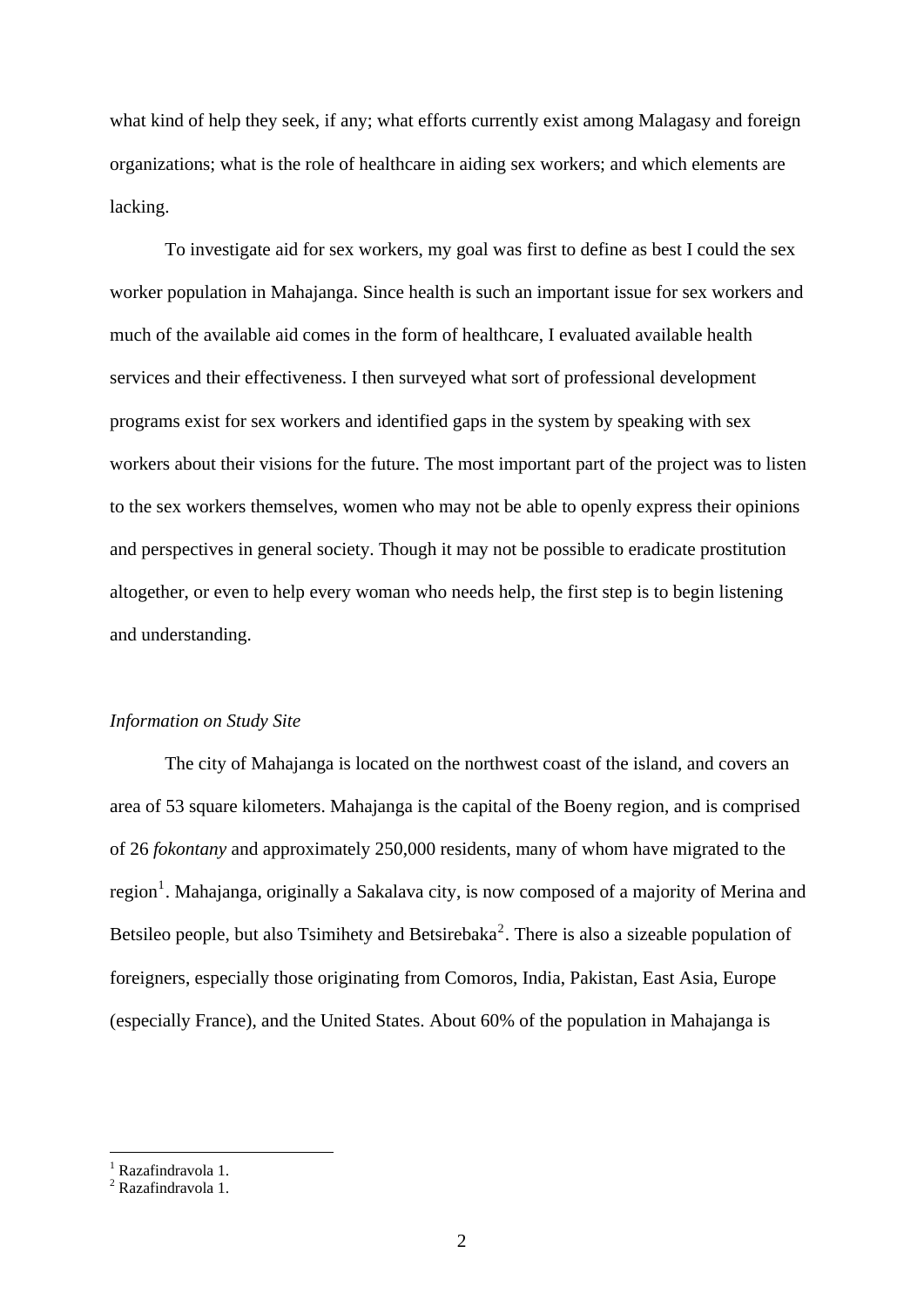what kind of help they seek, if any; what efforts currently exist among Malagasy and foreign organizations; what is the role of healthcare in aiding sex workers; and which elements are lacking.

To investigate aid for sex workers, my goal was first to define as best I could the sex worker population in Mahajanga. Since health is such an important issue for sex workers and much of the available aid comes in the form of healthcare. I evaluated available health services and their effectiveness. I then surveyed what sort of professional development programs exist for sex workers and identified gaps in the system by speaking with sex workers about their visions for the future. The most important part of the project was to listen to the sex workers themselves, women who may not be able to openly express their opinions and perspectives in general society. Though it may not be possible to eradicate prostitution altogether, or even to help every woman who needs help, the first step is to begin listening and understanding.

## *Information on Study Site*

The city of Mahajanga is located on the northwest coast of the island, and covers an area of 53 square kilometers. Mahajanga is the capital of the Boeny region, and is comprised of 26 *fokontany* and approximately 250,000 residents, many of whom have migrated to the region<sup>[1](#page-4-0)</sup>. Mahajanga, originally a Sakalava city, is now composed of a majority of Merina and Betsileo people, but also Tsimihety and Betsirebaka<sup>[2](#page-4-1)</sup>. There is also a sizeable population of foreigners, especially those originating from Comoros, India, Pakistan, East Asia, Europe (especially France), and the United States. About 60% of the population in Mahajanga is

<span id="page-4-0"></span><sup>&</sup>lt;sup>1</sup> Razafindravola 1.

<span id="page-4-1"></span><sup>&</sup>lt;sup>2</sup> Razafindravola 1.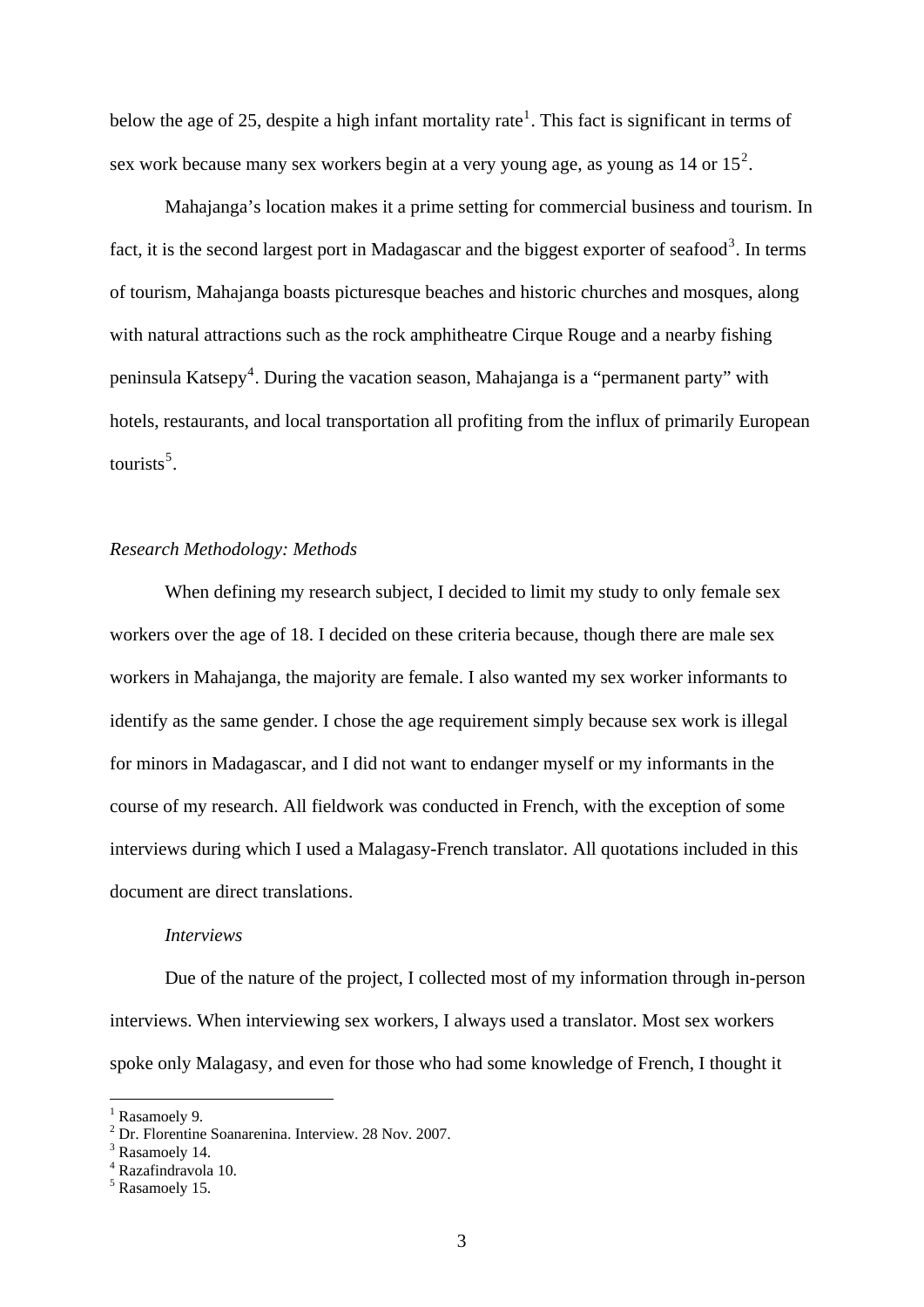below the age of 25, despite a high infant mortality rate<sup>[1](#page-5-0)</sup>. This fact is significant in terms of sex work because many sex workers begin at a very young age, as young as  $14$  or  $15<sup>2</sup>$  $15<sup>2</sup>$  $15<sup>2</sup>$ .

Mahajanga's location makes it a prime setting for commercial business and tourism. In fact, it is the second largest port in Madagascar and the biggest exporter of seafood<sup>[3](#page-5-2)</sup>. In terms of tourism, Mahajanga boasts picturesque beaches and historic churches and mosques, along with natural attractions such as the rock amphitheatre Cirque Rouge and a nearby fishing peninsula Katsepy<sup>[4](#page-5-3)</sup>. During the vacation season, Mahajanga is a "permanent party" with hotels, restaurants, and local transportation all profiting from the influx of primarily European tourists<sup>[5](#page-5-4)</sup>.

#### *Research Methodology: Methods*

When defining my research subject, I decided to limit my study to only female sex workers over the age of 18. I decided on these criteria because, though there are male sex workers in Mahajanga, the majority are female. I also wanted my sex worker informants to identify as the same gender. I chose the age requirement simply because sex work is illegal for minors in Madagascar, and I did not want to endanger myself or my informants in the course of my research. All fieldwork was conducted in French, with the exception of some interviews during which I used a Malagasy-French translator. All quotations included in this document are direct translations.

#### *Interviews*

Due of the nature of the project, I collected most of my information through in-person interviews. When interviewing sex workers, I always used a translator. Most sex workers spoke only Malagasy, and even for those who had some knowledge of French, I thought it

<span id="page-5-0"></span><sup>&</sup>lt;sup>1</sup> Rasamoely 9.

<span id="page-5-1"></span><sup>2</sup> Dr. Florentine Soanarenina. Interview. 28 Nov. 2007.

<span id="page-5-2"></span><sup>&</sup>lt;sup>3</sup> Rasamoely 14.

<span id="page-5-3"></span><sup>4</sup> Razafindravola 10.

<span id="page-5-4"></span><sup>5</sup> Rasamoely 15.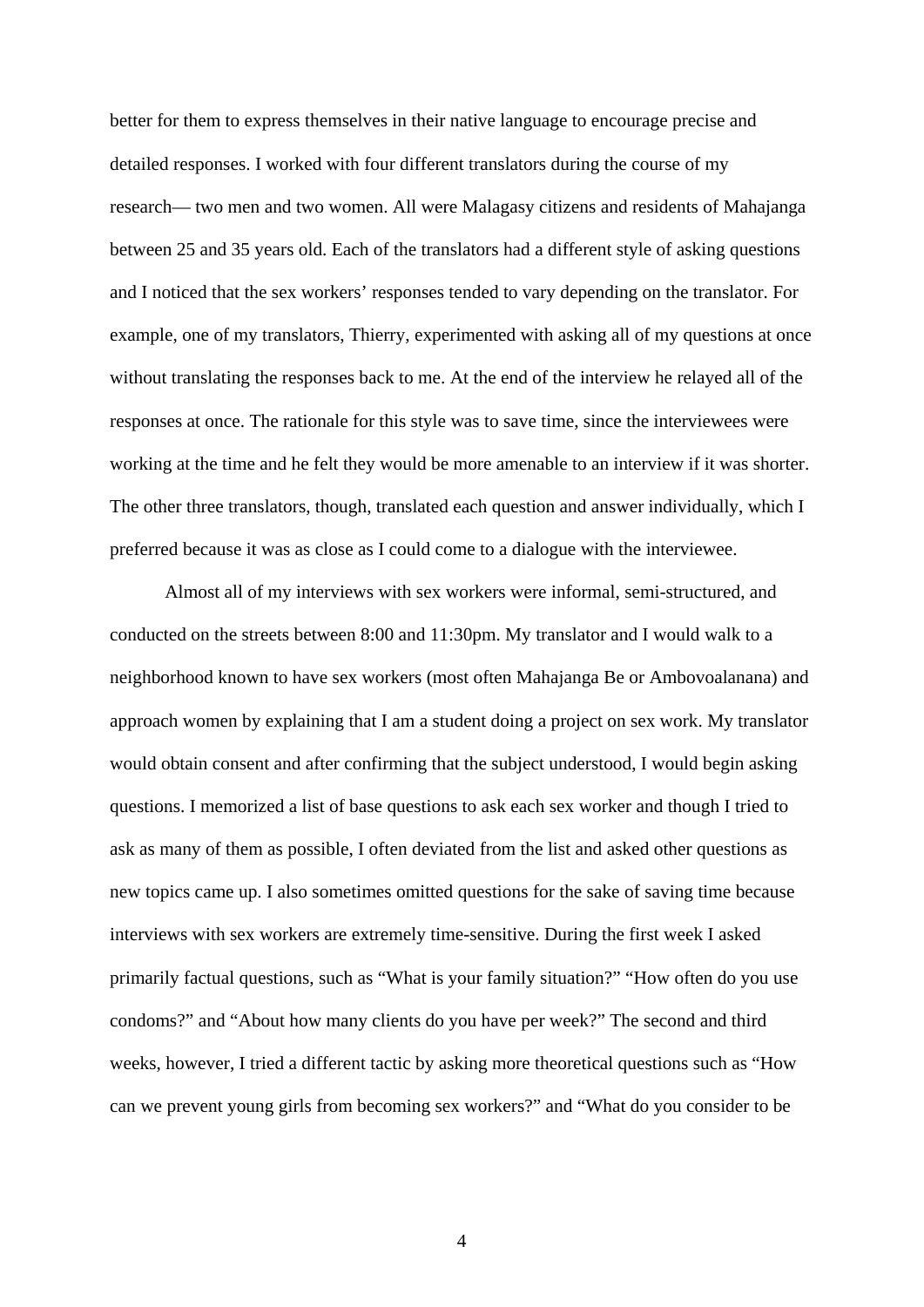better for them to express themselves in their native language to encourage precise and detailed responses. I worked with four different translators during the course of my research— two men and two women. All were Malagasy citizens and residents of Mahajanga between 25 and 35 years old. Each of the translators had a different style of asking questions and I noticed that the sex workers' responses tended to vary depending on the translator. For example, one of my translators, Thierry, experimented with asking all of my questions at once without translating the responses back to me. At the end of the interview he relayed all of the responses at once. The rationale for this style was to save time, since the interviewees were working at the time and he felt they would be more amenable to an interview if it was shorter. The other three translators, though, translated each question and answer individually, which I preferred because it was as close as I could come to a dialogue with the interviewee.

Almost all of my interviews with sex workers were informal, semi-structured, and conducted on the streets between 8:00 and 11:30pm. My translator and I would walk to a neighborhood known to have sex workers (most often Mahajanga Be or Ambovoalanana) and approach women by explaining that I am a student doing a project on sex work. My translator would obtain consent and after confirming that the subject understood, I would begin asking questions. I memorized a list of base questions to ask each sex worker and though I tried to ask as many of them as possible, I often deviated from the list and asked other questions as new topics came up. I also sometimes omitted questions for the sake of saving time because interviews with sex workers are extremely time-sensitive. During the first week I asked primarily factual questions, such as "What is your family situation?" "How often do you use condoms?" and "About how many clients do you have per week?" The second and third weeks, however, I tried a different tactic by asking more theoretical questions such as "How can we prevent young girls from becoming sex workers?" and "What do you consider to be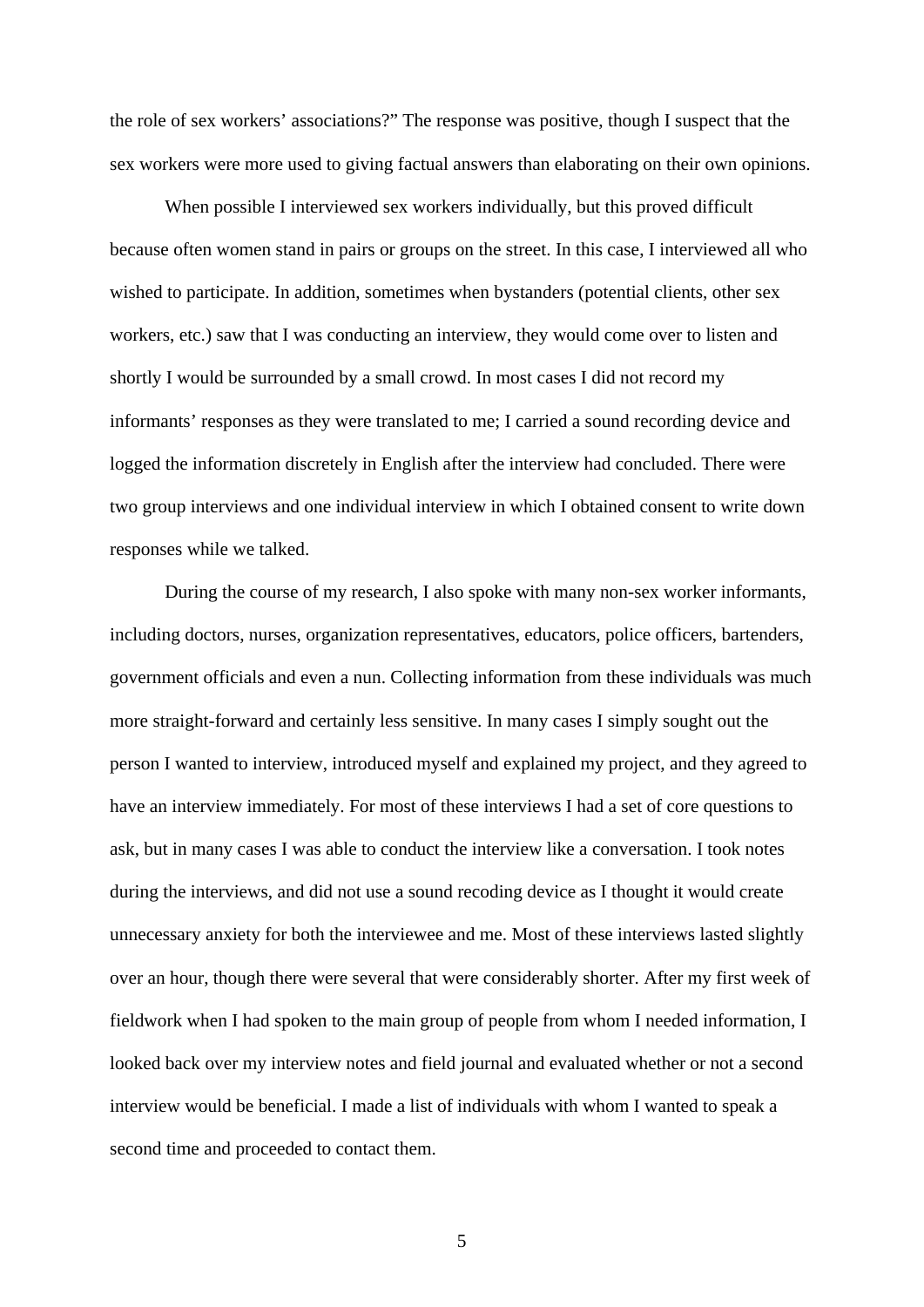the role of sex workers' associations?" The response was positive, though I suspect that the sex workers were more used to giving factual answers than elaborating on their own opinions.

When possible I interviewed sex workers individually, but this proved difficult because often women stand in pairs or groups on the street. In this case, I interviewed all who wished to participate. In addition, sometimes when bystanders (potential clients, other sex workers, etc.) saw that I was conducting an interview, they would come over to listen and shortly I would be surrounded by a small crowd. In most cases I did not record my informants' responses as they were translated to me; I carried a sound recording device and logged the information discretely in English after the interview had concluded. There were two group interviews and one individual interview in which I obtained consent to write down responses while we talked.

During the course of my research, I also spoke with many non-sex worker informants, including doctors, nurses, organization representatives, educators, police officers, bartenders, government officials and even a nun. Collecting information from these individuals was much more straight-forward and certainly less sensitive. In many cases I simply sought out the person I wanted to interview, introduced myself and explained my project, and they agreed to have an interview immediately. For most of these interviews I had a set of core questions to ask, but in many cases I was able to conduct the interview like a conversation. I took notes during the interviews, and did not use a sound recoding device as I thought it would create unnecessary anxiety for both the interviewee and me. Most of these interviews lasted slightly over an hour, though there were several that were considerably shorter. After my first week of fieldwork when I had spoken to the main group of people from whom I needed information, I looked back over my interview notes and field journal and evaluated whether or not a second interview would be beneficial. I made a list of individuals with whom I wanted to speak a second time and proceeded to contact them.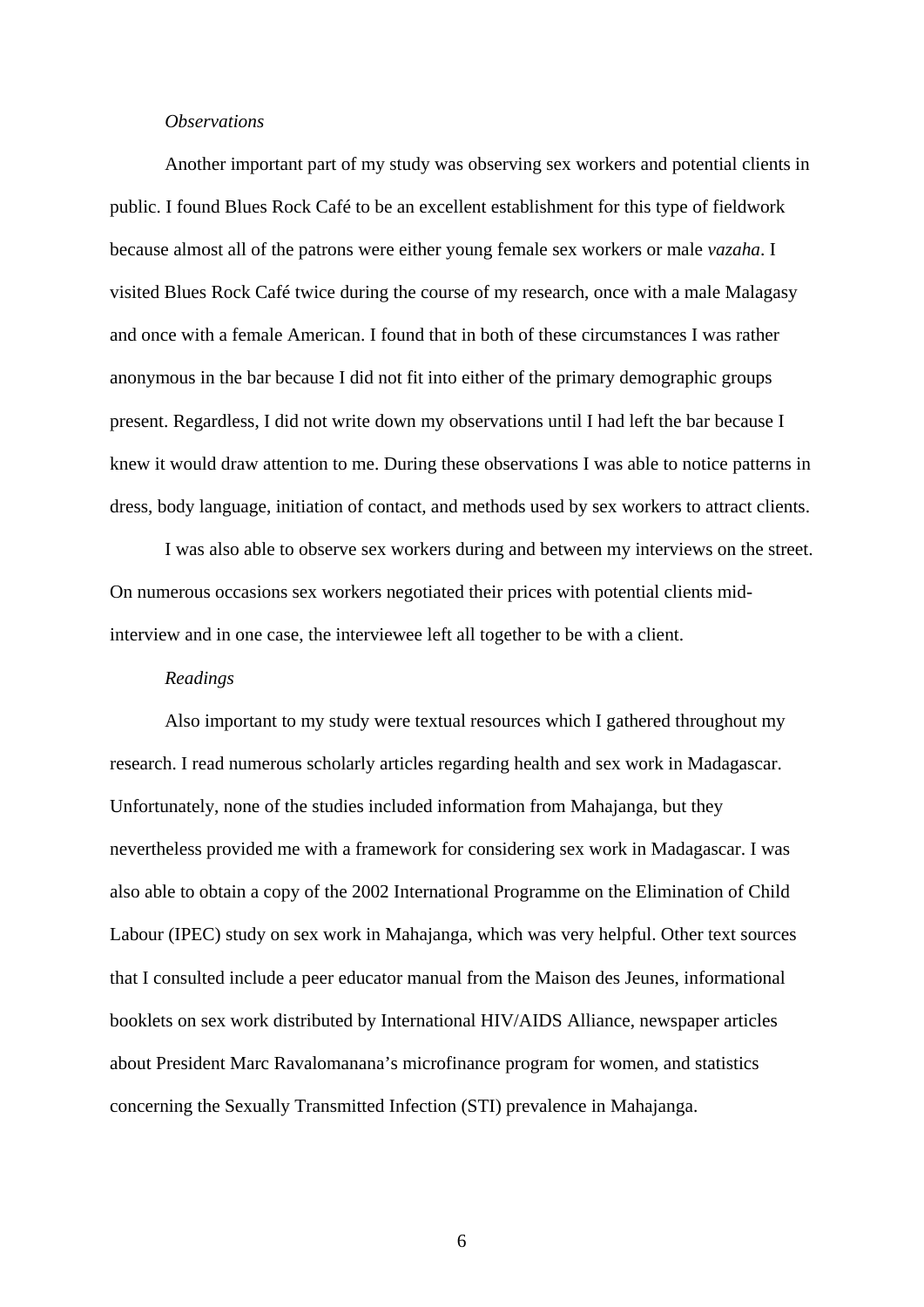#### *Observations*

Another important part of my study was observing sex workers and potential clients in public. I found Blues Rock Café to be an excellent establishment for this type of fieldwork because almost all of the patrons were either young female sex workers or male *vazaha*. I visited Blues Rock Café twice during the course of my research, once with a male Malagasy and once with a female American. I found that in both of these circumstances I was rather anonymous in the bar because I did not fit into either of the primary demographic groups present. Regardless, I did not write down my observations until I had left the bar because I knew it would draw attention to me. During these observations I was able to notice patterns in dress, body language, initiation of contact, and methods used by sex workers to attract clients.

I was also able to observe sex workers during and between my interviews on the street. On numerous occasions sex workers negotiated their prices with potential clients midinterview and in one case, the interviewee left all together to be with a client.

#### *Readings*

Also important to my study were textual resources which I gathered throughout my research. I read numerous scholarly articles regarding health and sex work in Madagascar. Unfortunately, none of the studies included information from Mahajanga, but they nevertheless provided me with a framework for considering sex work in Madagascar. I was also able to obtain a copy of the 2002 International Programme on the Elimination of Child Labour (IPEC) study on sex work in Mahajanga, which was very helpful. Other text sources that I consulted include a peer educator manual from the Maison des Jeunes, informational booklets on sex work distributed by International HIV/AIDS Alliance, newspaper articles about President Marc Ravalomanana's microfinance program for women, and statistics concerning the Sexually Transmitted Infection (STI) prevalence in Mahajanga.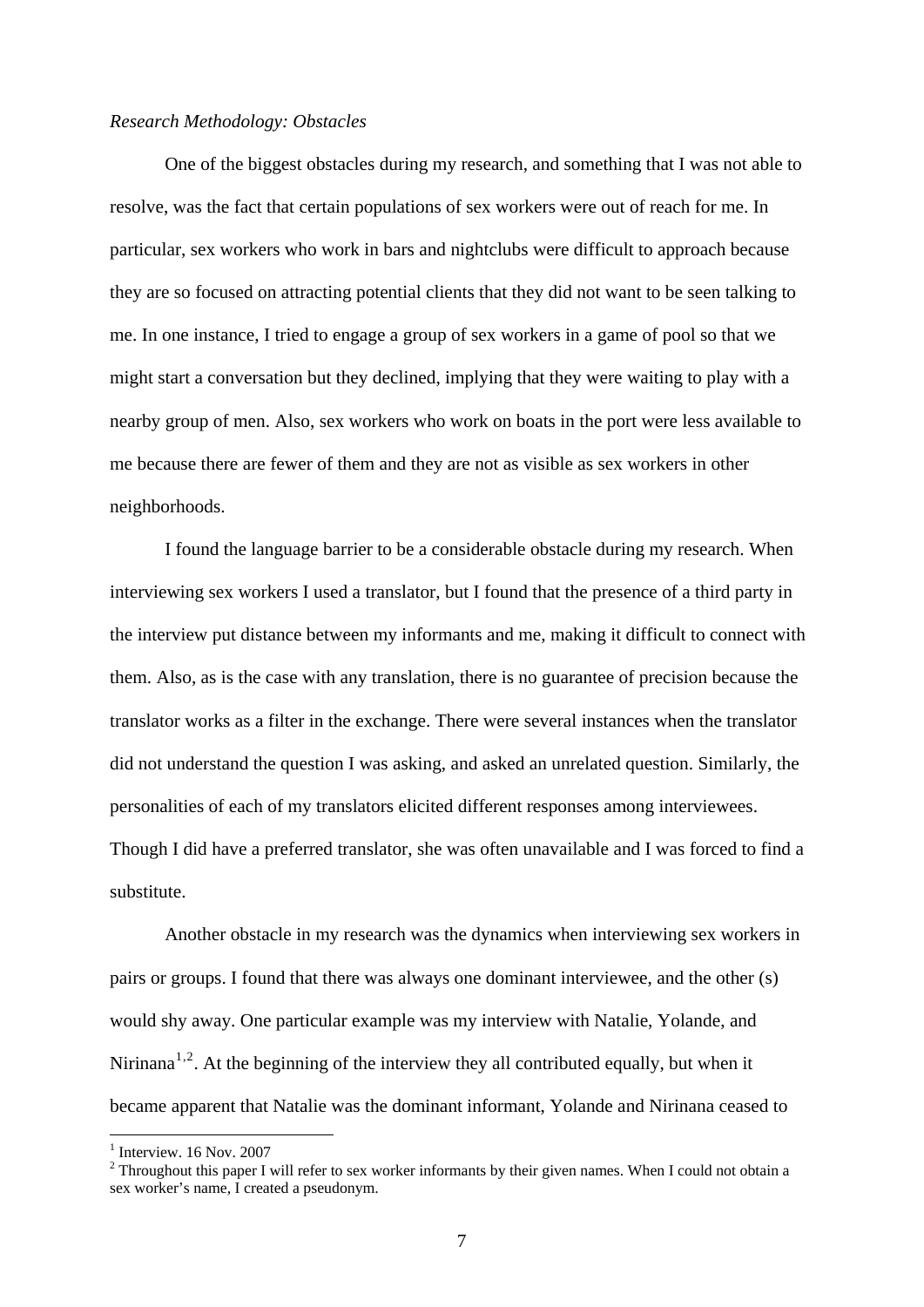## *Research Methodology: Obstacles*

One of the biggest obstacles during my research, and something that I was not able to resolve, was the fact that certain populations of sex workers were out of reach for me. In particular, sex workers who work in bars and nightclubs were difficult to approach because they are so focused on attracting potential clients that they did not want to be seen talking to me. In one instance, I tried to engage a group of sex workers in a game of pool so that we might start a conversation but they declined, implying that they were waiting to play with a nearby group of men. Also, sex workers who work on boats in the port were less available to me because there are fewer of them and they are not as visible as sex workers in other neighborhoods.

 I found the language barrier to be a considerable obstacle during my research. When interviewing sex workers I used a translator, but I found that the presence of a third party in the interview put distance between my informants and me, making it difficult to connect with them. Also, as is the case with any translation, there is no guarantee of precision because the translator works as a filter in the exchange. There were several instances when the translator did not understand the question I was asking, and asked an unrelated question. Similarly, the personalities of each of my translators elicited different responses among interviewees. Though I did have a preferred translator, she was often unavailable and I was forced to find a substitute.

 Another obstacle in my research was the dynamics when interviewing sex workers in pairs or groups. I found that there was always one dominant interviewee, and the other (s) would shy away. One particular example was my interview with Natalie, Yolande, and Nirinana<sup>[1](#page-9-0),[2](#page-9-1)</sup>. At the beginning of the interview they all contributed equally, but when it became apparent that Natalie was the dominant informant, Yolande and Nirinana ceased to

<span id="page-9-0"></span> $<sup>1</sup>$  Interview. 16 Nov. 2007</sup>

<span id="page-9-1"></span> $2$  Throughout this paper I will refer to sex worker informants by their given names. When I could not obtain a sex worker's name, I created a pseudonym.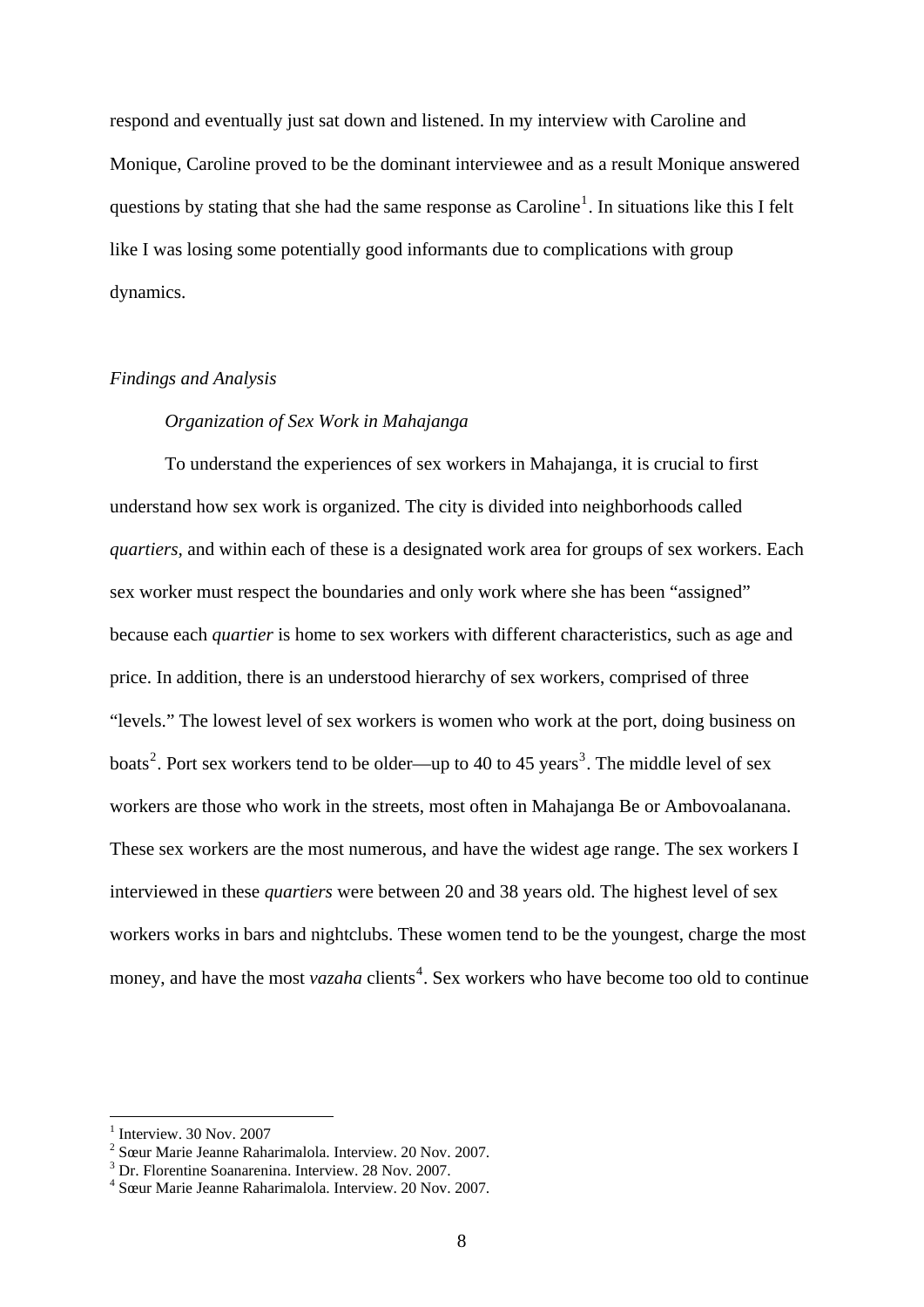respond and eventually just sat down and listened. In my interview with Caroline and Monique, Caroline proved to be the dominant interviewee and as a result Monique answered questions by stating that she had the same response as  $Caroline<sup>1</sup>$  $Caroline<sup>1</sup>$  $Caroline<sup>1</sup>$ . In situations like this I felt like I was losing some potentially good informants due to complications with group dynamics.

## *Findings and Analysis*

# *Organization of Sex Work in Mahajanga*

To understand the experiences of sex workers in Mahajanga, it is crucial to first understand how sex work is organized. The city is divided into neighborhoods called *quartiers,* and within each of these is a designated work area for groups of sex workers. Each sex worker must respect the boundaries and only work where she has been "assigned" because each *quartier* is home to sex workers with different characteristics, such as age and price. In addition, there is an understood hierarchy of sex workers, comprised of three "levels." The lowest level of sex workers is women who work at the port, doing business on boats<sup>[2](#page-10-1)</sup>. Port sex workers tend to be older—up to 40 to 45 years<sup>[3](#page-10-2)</sup>. The middle level of sex workers are those who work in the streets, most often in Mahajanga Be or Ambovoalanana. These sex workers are the most numerous, and have the widest age range. The sex workers I interviewed in these *quartiers* were between 20 and 38 years old. The highest level of sex workers works in bars and nightclubs. These women tend to be the youngest, charge the most money, and have the most *vazaha* clients<sup>[4](#page-10-3)</sup>. Sex workers who have become too old to continue

<span id="page-10-0"></span> $<sup>1</sup>$  Interview. 30 Nov. 2007</sup>

<span id="page-10-1"></span><sup>2</sup> Sœur Marie Jeanne Raharimalola. Interview. 20 Nov. 2007.

<span id="page-10-2"></span><sup>3</sup> Dr. Florentine Soanarenina. Interview. 28 Nov. 2007.

<span id="page-10-3"></span><sup>4</sup> Sœur Marie Jeanne Raharimalola. Interview. 20 Nov. 2007.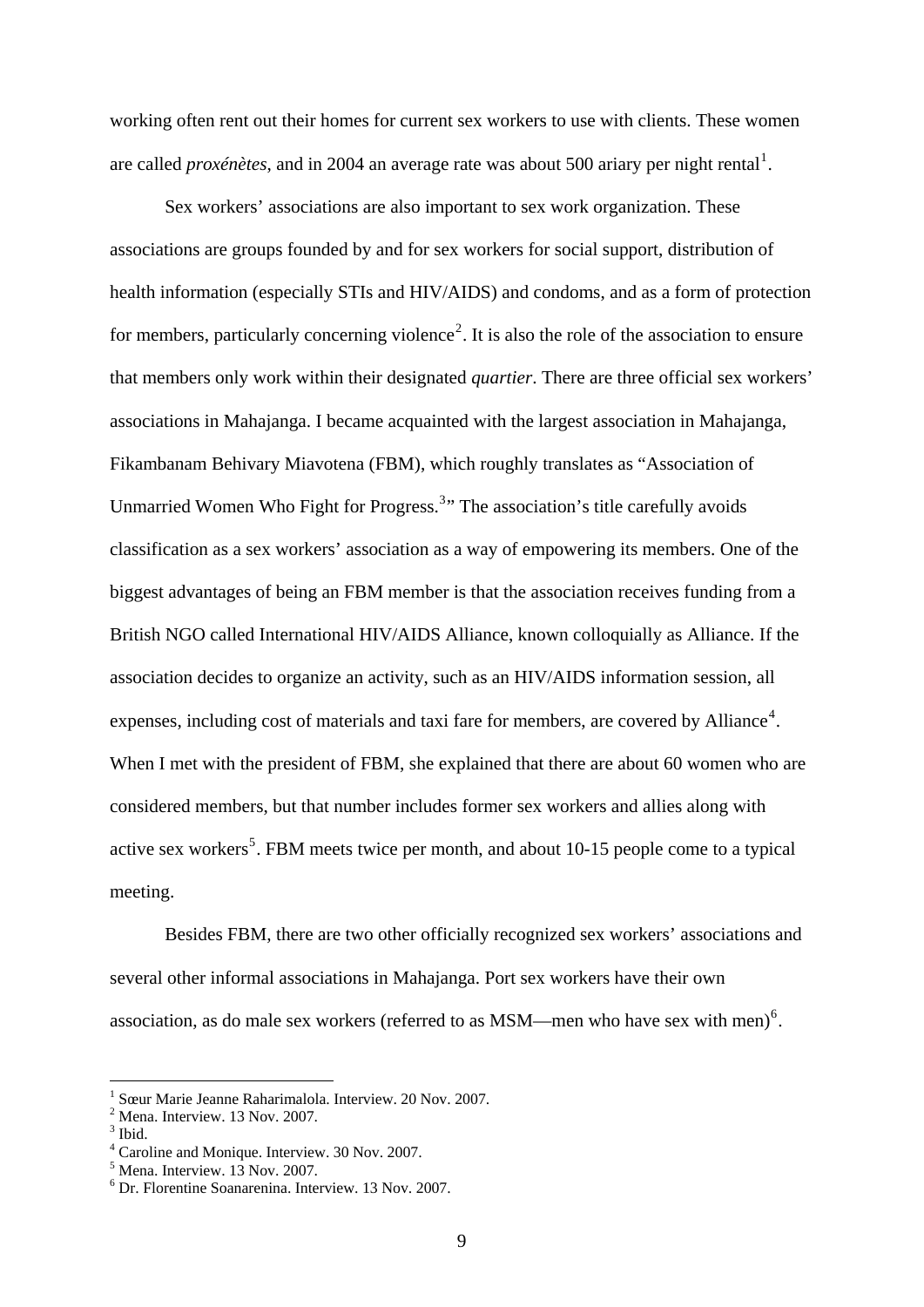working often rent out their homes for current sex workers to use with clients. These women are called *proxénètes*, and in 2004 an average rate was about 500 ariary per night rental<sup>[1](#page-11-0)</sup>.

 Sex workers' associations are also important to sex work organization. These associations are groups founded by and for sex workers for social support, distribution of health information (especially STIs and HIV/AIDS) and condoms, and as a form of protection for members, particularly concerning violence<sup>[2](#page-11-1)</sup>. It is also the role of the association to ensure that members only work within their designated *quartier*. There are three official sex workers' associations in Mahajanga. I became acquainted with the largest association in Mahajanga, Fikambanam Behivary Miavotena (FBM), which roughly translates as "Association of Unmarried Women Who Fight for Progress.<sup>[3](#page-11-2)</sup>" The association's title carefully avoids classification as a sex workers' association as a way of empowering its members. One of the biggest advantages of being an FBM member is that the association receives funding from a British NGO called International HIV/AIDS Alliance, known colloquially as Alliance. If the association decides to organize an activity, such as an HIV/AIDS information session, all expenses, including cost of materials and taxi fare for members, are covered by Alliance<sup>[4](#page-11-3)</sup>. When I met with the president of FBM, she explained that there are about 60 women who are considered members, but that number includes former sex workers and allies along with active sex workers<sup>[5](#page-11-4)</sup>. FBM meets twice per month, and about 10-15 people come to a typical meeting.

 Besides FBM, there are two other officially recognized sex workers' associations and several other informal associations in Mahajanga. Port sex workers have their own association, as do male sex workers (referred to as  $MSM$ —men who have sex with men)<sup>[6](#page-11-5)</sup>.

<span id="page-11-0"></span><sup>1</sup> Sœur Marie Jeanne Raharimalola. Interview. 20 Nov. 2007.

<span id="page-11-1"></span><sup>&</sup>lt;sup>2</sup> Mena. Interview. 13 Nov. 2007.

<span id="page-11-2"></span> $3$  Ibid.

<span id="page-11-3"></span><sup>4</sup> Caroline and Monique. Interview. 30 Nov. 2007.

<span id="page-11-4"></span><sup>5</sup> Mena. Interview. 13 Nov. 2007.

<span id="page-11-5"></span><sup>6</sup> Dr. Florentine Soanarenina. Interview. 13 Nov. 2007.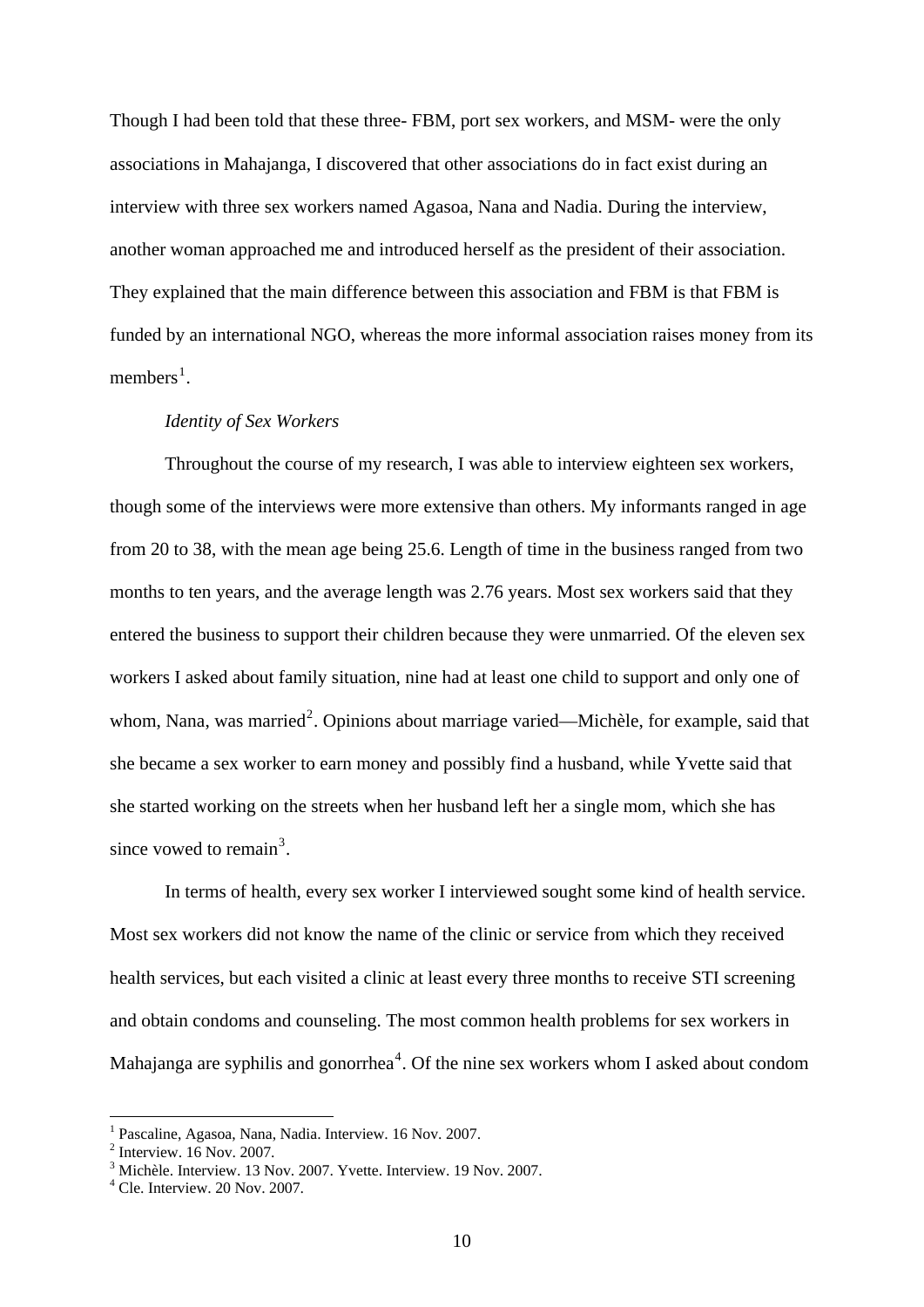Though I had been told that these three- FBM, port sex workers, and MSM- were the only associations in Mahajanga, I discovered that other associations do in fact exist during an interview with three sex workers named Agasoa, Nana and Nadia. During the interview, another woman approached me and introduced herself as the president of their association. They explained that the main difference between this association and FBM is that FBM is funded by an international NGO, whereas the more informal association raises money from its members<sup>[1](#page-12-0)</sup>.

#### *Identity of Sex Workers*

Throughout the course of my research, I was able to interview eighteen sex workers, though some of the interviews were more extensive than others. My informants ranged in age from 20 to 38, with the mean age being 25.6. Length of time in the business ranged from two months to ten years, and the average length was 2.76 years. Most sex workers said that they entered the business to support their children because they were unmarried. Of the eleven sex workers I asked about family situation, nine had at least one child to support and only one of whom, Nana, was married<sup>[2](#page-12-1)</sup>. Opinions about marriage varied—Michèle, for example, said that she became a sex worker to earn money and possibly find a husband, while Yvette said that she started working on the streets when her husband left her a single mom, which she has since vowed to remain<sup>[3](#page-12-2)</sup>.

In terms of health, every sex worker I interviewed sought some kind of health service. Most sex workers did not know the name of the clinic or service from which they received health services, but each visited a clinic at least every three months to receive STI screening and obtain condoms and counseling. The most common health problems for sex workers in Mahajanga are syphilis and gonorrhea<sup>[4](#page-12-3)</sup>. Of the nine sex workers whom I asked about condom

<span id="page-12-0"></span><sup>1</sup> Pascaline, Agasoa, Nana, Nadia. Interview. 16 Nov. 2007.

<span id="page-12-1"></span><sup>2</sup> Interview. 16 Nov. 2007.

<span id="page-12-2"></span><sup>3</sup> Michèle. Interview. 13 Nov. 2007. Yvette. Interview. 19 Nov. 2007.

<span id="page-12-3"></span><sup>4</sup> Cle. Interview. 20 Nov. 2007.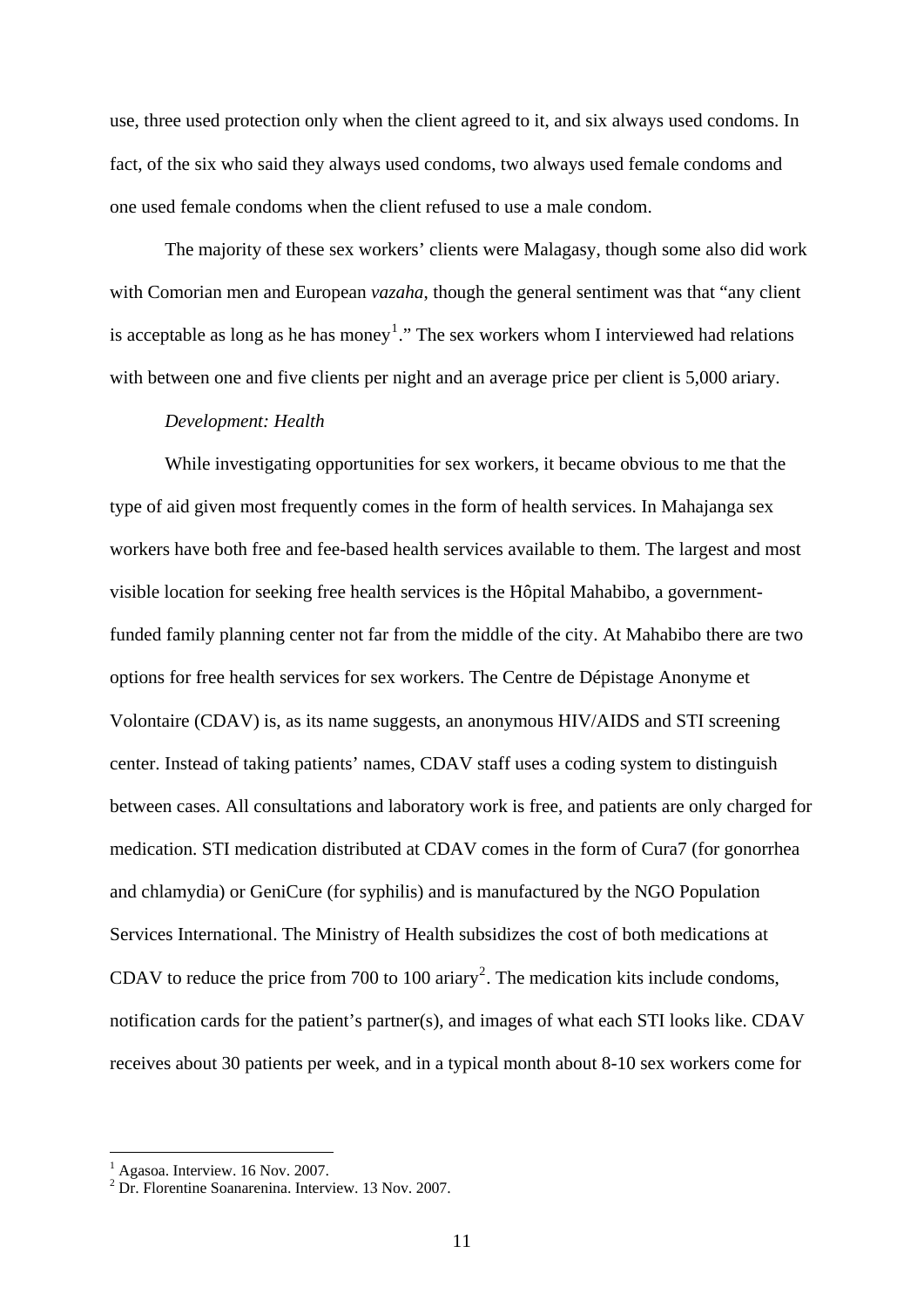use, three used protection only when the client agreed to it, and six always used condoms. In fact, of the six who said they always used condoms, two always used female condoms and one used female condoms when the client refused to use a male condom.

The majority of these sex workers' clients were Malagasy, though some also did work with Comorian men and European *vazaha*, though the general sentiment was that "any client is acceptable as long as he has money<sup>[1](#page-13-0)</sup>." The sex workers whom I interviewed had relations with between one and five clients per night and an average price per client is 5,000 ariary.

#### *Development: Health*

While investigating opportunities for sex workers, it became obvious to me that the type of aid given most frequently comes in the form of health services. In Mahajanga sex workers have both free and fee-based health services available to them. The largest and most visible location for seeking free health services is the Hôpital Mahabibo, a governmentfunded family planning center not far from the middle of the city. At Mahabibo there are two options for free health services for sex workers. The Centre de Dépistage Anonyme et Volontaire (CDAV) is, as its name suggests, an anonymous HIV/AIDS and STI screening center. Instead of taking patients' names, CDAV staff uses a coding system to distinguish between cases. All consultations and laboratory work is free, and patients are only charged for medication. STI medication distributed at CDAV comes in the form of Cura7 (for gonorrhea and chlamydia) or GeniCure (for syphilis) and is manufactured by the NGO Population Services International. The Ministry of Health subsidizes the cost of both medications at CDAV to reduce the price from 700 to 100 ariary<sup>[2](#page-13-1)</sup>. The medication kits include condoms, notification cards for the patient's partner(s), and images of what each STI looks like. CDAV receives about 30 patients per week, and in a typical month about 8-10 sex workers come for

<span id="page-13-0"></span><sup>&</sup>lt;sup>1</sup> Agasoa. Interview. 16 Nov. 2007.

<span id="page-13-1"></span><sup>2</sup> Dr. Florentine Soanarenina. Interview. 13 Nov. 2007.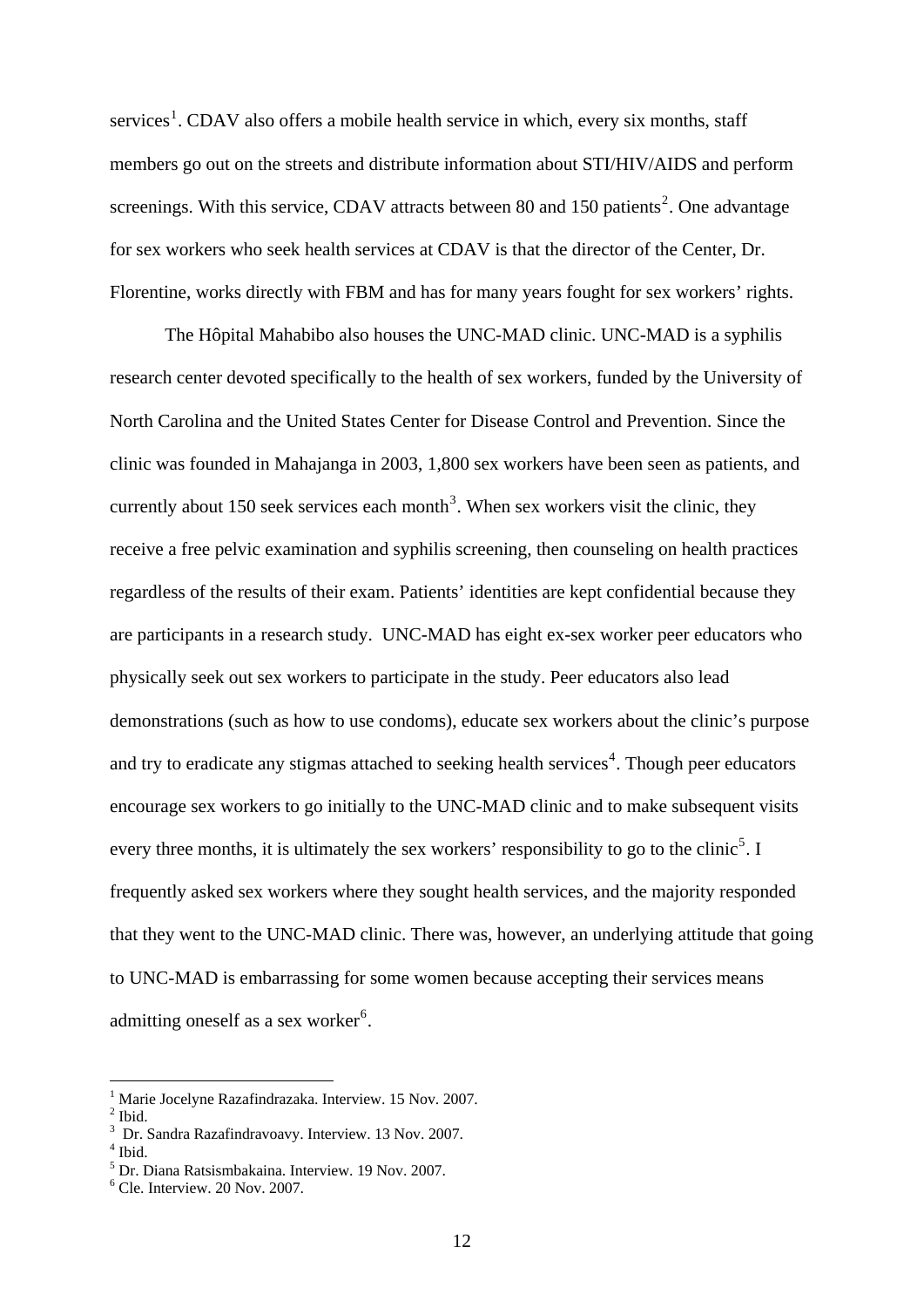services<sup>[1](#page-14-0)</sup>. CDAV also offers a mobile health service in which, every six months, staff members go out on the streets and distribute information about STI/HIV/AIDS and perform screenings. With this service, CDAV attracts between 80 and 150 patients<sup>[2](#page-14-1)</sup>. One advantage for sex workers who seek health services at CDAV is that the director of the Center, Dr. Florentine, works directly with FBM and has for many years fought for sex workers' rights.

The Hôpital Mahabibo also houses the UNC-MAD clinic. UNC-MAD is a syphilis research center devoted specifically to the health of sex workers, funded by the University of North Carolina and the United States Center for Disease Control and Prevention. Since the clinic was founded in Mahajanga in 2003, 1,800 sex workers have been seen as patients, and currently about 150 seek services each month<sup>[3](#page-14-2)</sup>. When sex workers visit the clinic, they receive a free pelvic examination and syphilis screening, then counseling on health practices regardless of the results of their exam. Patients' identities are kept confidential because they are participants in a research study. UNC-MAD has eight ex-sex worker peer educators who physically seek out sex workers to participate in the study. Peer educators also lead demonstrations (such as how to use condoms), educate sex workers about the clinic's purpose and try to eradicate any stigmas attached to seeking health services<sup>[4](#page-14-3)</sup>. Though peer educators encourage sex workers to go initially to the UNC-MAD clinic and to make subsequent visits every three months, it is ultimately the sex workers' responsibility to go to the clinic<sup>[5](#page-14-4)</sup>. I frequently asked sex workers where they sought health services, and the majority responded that they went to the UNC-MAD clinic. There was, however, an underlying attitude that going to UNC-MAD is embarrassing for some women because accepting their services means admitting oneself as a sex worker<sup>[6](#page-14-5)</sup>.

<sup>&</sup>lt;sup>1</sup> Marie Jocelyne Razafindrazaka. Interview. 15 Nov. 2007.

<span id="page-14-1"></span><span id="page-14-0"></span> $2$  Ibid.

<sup>3</sup> Dr. Sandra Razafindravoavy. Interview. 13 Nov. 2007. 4

<span id="page-14-3"></span><span id="page-14-2"></span> $<sup>4</sup>$  Ibid.</sup>

<span id="page-14-4"></span><sup>5</sup> Dr. Diana Ratsismbakaina. Interview. 19 Nov. 2007.

<span id="page-14-5"></span><sup>6</sup> Cle. Interview. 20 Nov. 2007.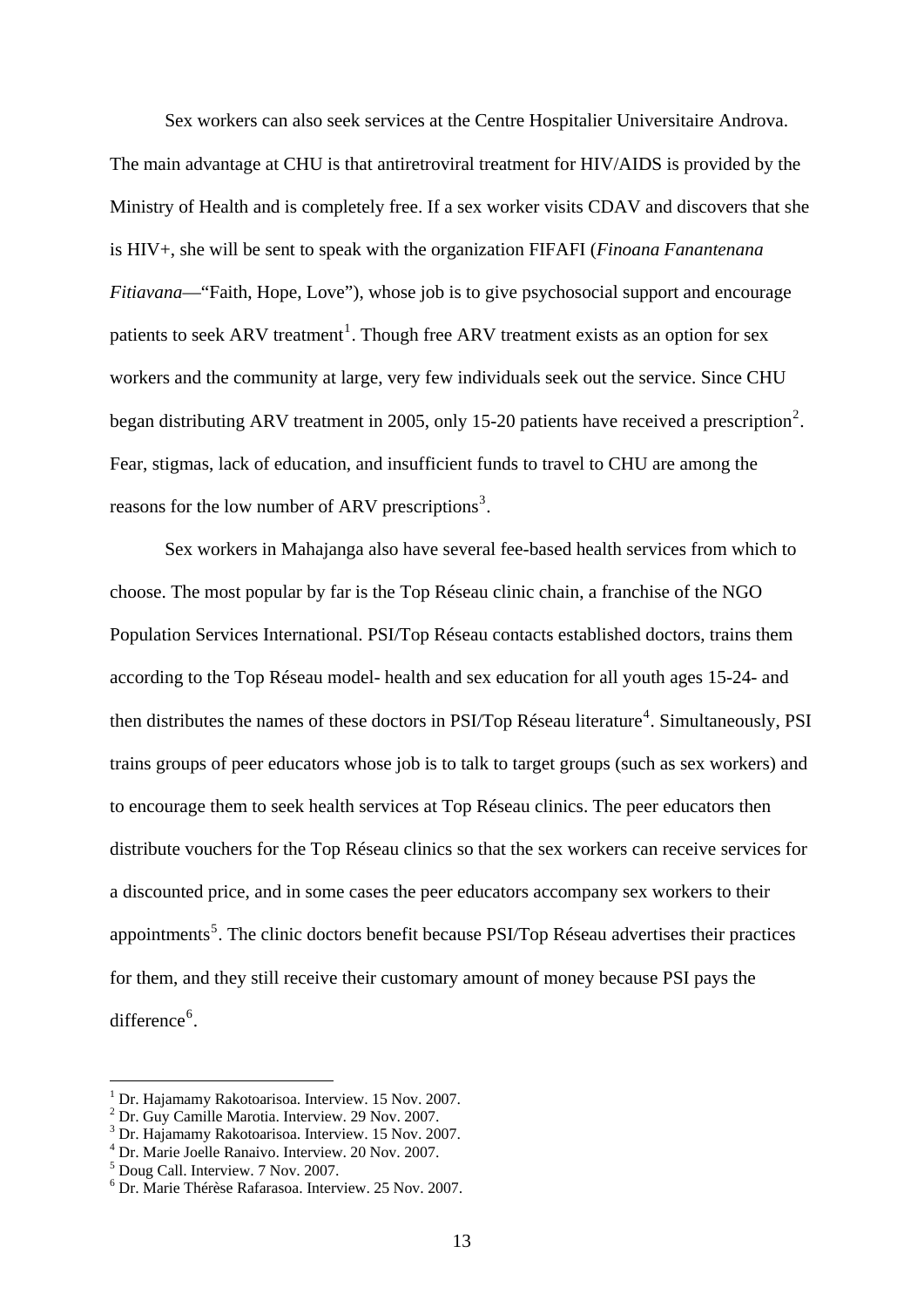Sex workers can also seek services at the Centre Hospitalier Universitaire Androva. The main advantage at CHU is that antiretroviral treatment for HIV/AIDS is provided by the Ministry of Health and is completely free. If a sex worker visits CDAV and discovers that she is HIV+, she will be sent to speak with the organization FIFAFI (*Finoana Fanantenana Fitiavana*—"Faith, Hope, Love"), whose job is to give psychosocial support and encourage patients to seek ARV treatment<sup>[1](#page-15-0)</sup>. Though free ARV treatment exists as an option for sex workers and the community at large, very few individuals seek out the service. Since CHU began distributing ARV treatment in [2](#page-15-1)005, only 15-20 patients have received a prescription<sup>2</sup>. Fear, stigmas, lack of education, and insufficient funds to travel to CHU are among the reasons for the low number of ARV prescriptions<sup>[3](#page-15-2)</sup>.

Sex workers in Mahajanga also have several fee-based health services from which to choose. The most popular by far is the Top Réseau clinic chain, a franchise of the NGO Population Services International. PSI/Top Réseau contacts established doctors, trains them according to the Top Réseau model- health and sex education for all youth ages 15-24- and then distributes the names of these doctors in PSI/Top Réseau literature<sup>[4](#page-15-3)</sup>. Simultaneously, PSI trains groups of peer educators whose job is to talk to target groups (such as sex workers) and to encourage them to seek health services at Top Réseau clinics. The peer educators then distribute vouchers for the Top Réseau clinics so that the sex workers can receive services for a discounted price, and in some cases the peer educators accompany sex workers to their appointments<sup>[5](#page-15-4)</sup>. The clinic doctors benefit because PSI/Top Réseau advertises their practices for them, and they still receive their customary amount of money because PSI pays the difference<sup>[6](#page-15-5)</sup>.

<sup>&</sup>lt;sup>1</sup> Dr. Hajamamy Rakotoarisoa. Interview. 15 Nov. 2007.

<span id="page-15-1"></span><span id="page-15-0"></span><sup>&</sup>lt;sup>2</sup> Dr. Guy Camille Marotia. Interview. 29 Nov. 2007.

<span id="page-15-2"></span><sup>3</sup> Dr. Hajamamy Rakotoarisoa. Interview. 15 Nov. 2007.

<span id="page-15-3"></span><sup>4</sup> Dr. Marie Joelle Ranaivo. Interview. 20 Nov. 2007.

<span id="page-15-4"></span><sup>5</sup> Doug Call. Interview. 7 Nov. 2007.

<span id="page-15-5"></span><sup>6</sup> Dr. Marie Thérèse Rafarasoa. Interview. 25 Nov. 2007.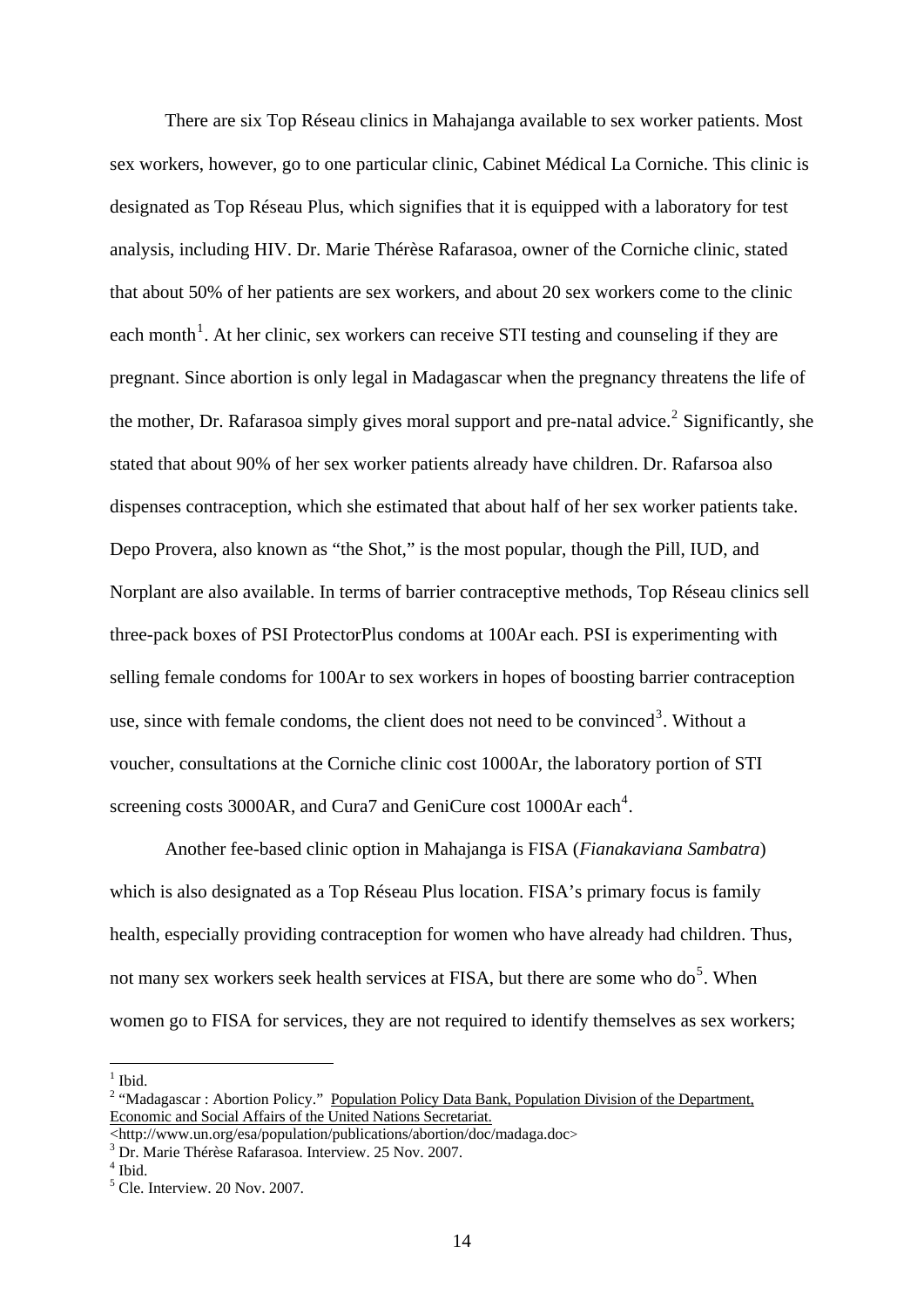There are six Top Réseau clinics in Mahajanga available to sex worker patients. Most sex workers, however, go to one particular clinic, Cabinet Médical La Corniche. This clinic is designated as Top Réseau Plus, which signifies that it is equipped with a laboratory for test analysis, including HIV. Dr. Marie Thérèse Rafarasoa, owner of the Corniche clinic, stated that about 50% of her patients are sex workers, and about 20 sex workers come to the clinic each month<sup>[1](#page-16-0)</sup>. At her clinic, sex workers can receive STI testing and counseling if they are pregnant. Since abortion is only legal in Madagascar when the pregnancy threatens the life of the mother, Dr. Rafarasoa simply gives moral support and pre-natal advice.<sup>[2](#page-16-1)</sup> Significantly, she stated that about 90% of her sex worker patients already have children. Dr. Rafarsoa also dispenses contraception, which she estimated that about half of her sex worker patients take. Depo Provera, also known as "the Shot," is the most popular, though the Pill, IUD, and Norplant are also available. In terms of barrier contraceptive methods, Top Réseau clinics sell three-pack boxes of PSI ProtectorPlus condoms at 100Ar each. PSI is experimenting with selling female condoms for 100Ar to sex workers in hopes of boosting barrier contraception use, since with female condoms, the client does not need to be convinced<sup>[3](#page-16-2)</sup>. Without a voucher, consultations at the Corniche clinic cost 1000Ar, the laboratory portion of STI screening costs 3000AR, and Cura7 and GeniCure cost 1000Ar each<sup>[4](#page-16-3)</sup>.

Another fee-based clinic option in Mahajanga is FISA (*Fianakaviana Sambatra*) which is also designated as a Top Réseau Plus location. FISA's primary focus is family health, especially providing contraception for women who have already had children. Thus, not many sex workers seek health services at FISA, but there are some who do<sup>[5](#page-16-4)</sup>. When women go to FISA for services, they are not required to identify themselves as sex workers;

 $\frac{1}{1}$  Ibid.

<span id="page-16-1"></span><span id="page-16-0"></span><sup>&</sup>lt;sup>2</sup> "Madagascar : Abortion Policy." Population Policy Data Bank, Population Division of the Department, Economic and Social Affairs of the United Nations Secretariat.

<sup>&</sup>lt;http://www.un.org/esa/population/publications/abortion/doc/madaga.doc> 3

Dr. Marie Thérèse Rafarasoa. Interview. 25 Nov. 2007.

<span id="page-16-4"></span><span id="page-16-3"></span><span id="page-16-2"></span><sup>4</sup> Ibid.

<sup>5</sup> Cle. Interview. 20 Nov. 2007.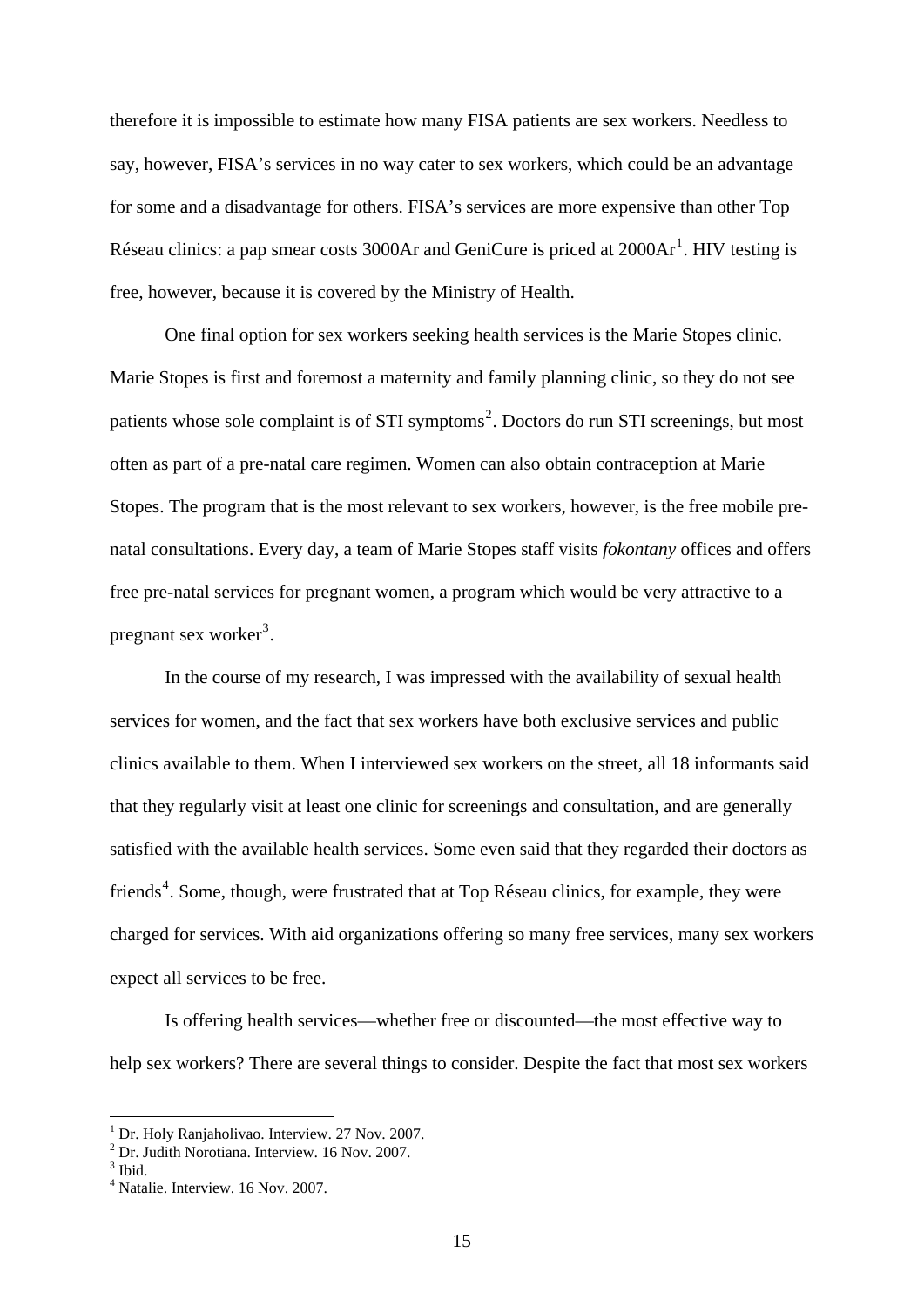therefore it is impossible to estimate how many FISA patients are sex workers. Needless to say, however, FISA's services in no way cater to sex workers, which could be an advantage for some and a disadvantage for others. FISA's services are more expensive than other Top Réseau clinics: a pap smear costs  $3000$ Ar and GeniCure is priced at  $2000$ Ar<sup>[1](#page-17-0)</sup>. HIV testing is free, however, because it is covered by the Ministry of Health.

 One final option for sex workers seeking health services is the Marie Stopes clinic. Marie Stopes is first and foremost a maternity and family planning clinic, so they do not see patients whose sole complaint is of STI symptoms<sup>[2](#page-17-1)</sup>. Doctors do run STI screenings, but most often as part of a pre-natal care regimen. Women can also obtain contraception at Marie Stopes. The program that is the most relevant to sex workers, however, is the free mobile prenatal consultations. Every day, a team of Marie Stopes staff visits *fokontany* offices and offers free pre-natal services for pregnant women, a program which would be very attractive to a pregnant sex worker<sup>[3](#page-17-2)</sup>.

 In the course of my research, I was impressed with the availability of sexual health services for women, and the fact that sex workers have both exclusive services and public clinics available to them. When I interviewed sex workers on the street, all 18 informants said that they regularly visit at least one clinic for screenings and consultation, and are generally satisfied with the available health services. Some even said that they regarded their doctors as friends<sup>[4](#page-17-3)</sup>. Some, though, were frustrated that at Top Réseau clinics, for example, they were charged for services. With aid organizations offering so many free services, many sex workers expect all services to be free.

Is offering health services—whether free or discounted—the most effective way to help sex workers? There are several things to consider. Despite the fact that most sex workers

<span id="page-17-0"></span><sup>&</sup>lt;sup>1</sup> Dr. Holy Ranjaholivao. Interview. 27 Nov. 2007.

<sup>2</sup> Dr. Judith Norotiana. Interview. 16 Nov. 2007.

<span id="page-17-3"></span><span id="page-17-2"></span><span id="page-17-1"></span> $3$  Ibid.

<sup>4</sup> Natalie. Interview. 16 Nov. 2007.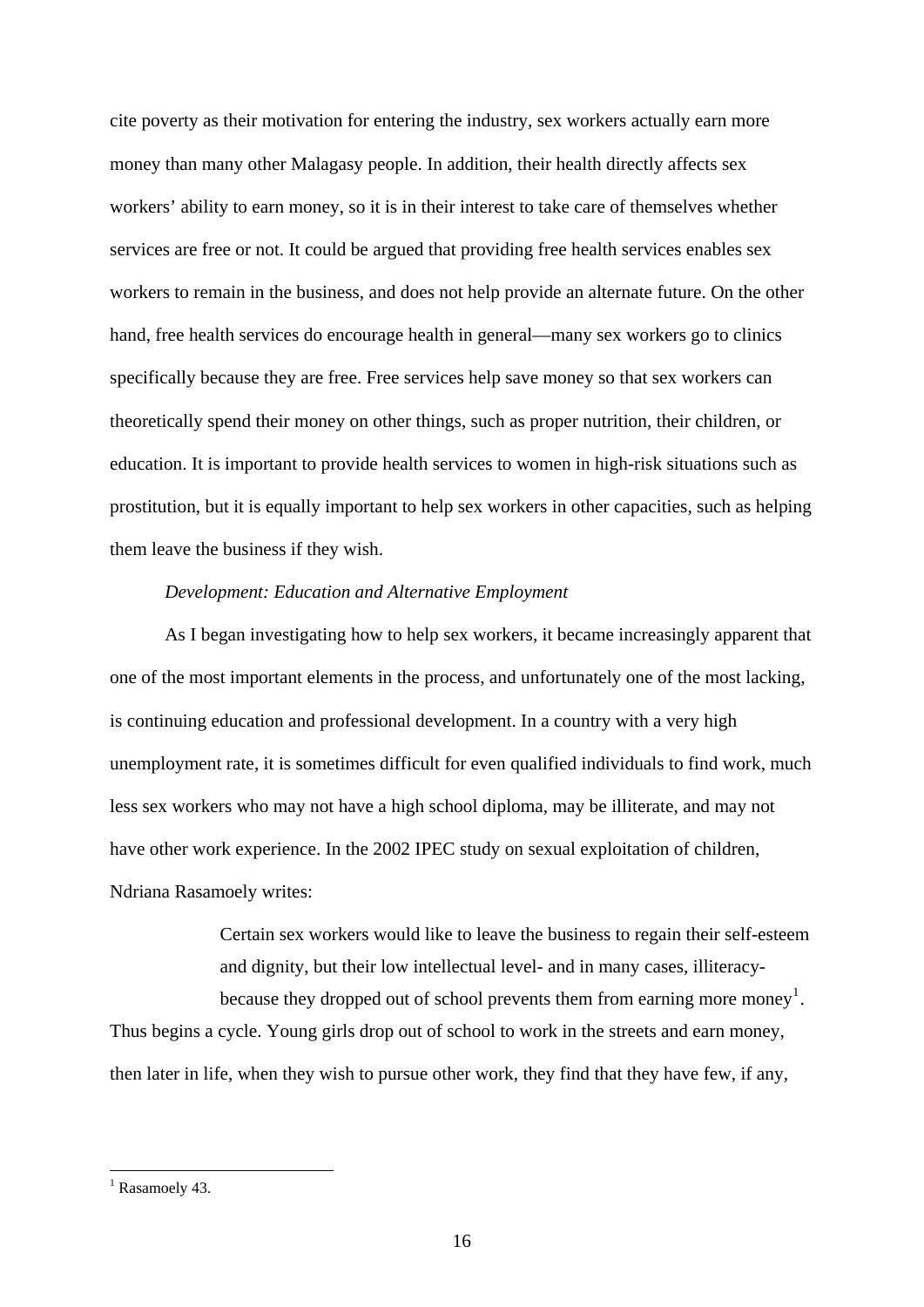cite poverty as their motivation for entering the industry, sex workers actually earn more money than many other Malagasy people. In addition, their health directly affects sex workers' ability to earn money, so it is in their interest to take care of themselves whether services are free or not. It could be argued that providing free health services enables sex workers to remain in the business, and does not help provide an alternate future. On the other hand, free health services do encourage health in general—many sex workers go to clinics specifically because they are free. Free services help save money so that sex workers can theoretically spend their money on other things, such as proper nutrition, their children, or education. It is important to provide health services to women in high-risk situations such as prostitution, but it is equally important to help sex workers in other capacities, such as helping them leave the business if they wish.

#### *Development: Education and Alternative Employment*

As I began investigating how to help sex workers, it became increasingly apparent that one of the most important elements in the process, and unfortunately one of the most lacking, is continuing education and professional development. In a country with a very high unemployment rate, it is sometimes difficult for even qualified individuals to find work, much less sex workers who may not have a high school diploma, may be illiterate, and may not have other work experience. In the 2002 IPEC study on sexual exploitation of children, Ndriana Rasamoely writes:

> Certain sex workers would like to leave the business to regain their self-esteem and dignity, but their low intellectual level- and in many cases, illiteracy-because they dropped out of school prevents them from earning more money<sup>[1](#page-18-0)</sup>.

Thus begins a cycle. Young girls drop out of school to work in the streets and earn money, then later in life, when they wish to pursue other work, they find that they have few, if any,

<span id="page-18-0"></span><sup>&</sup>lt;sup>1</sup> Rasamoely 43.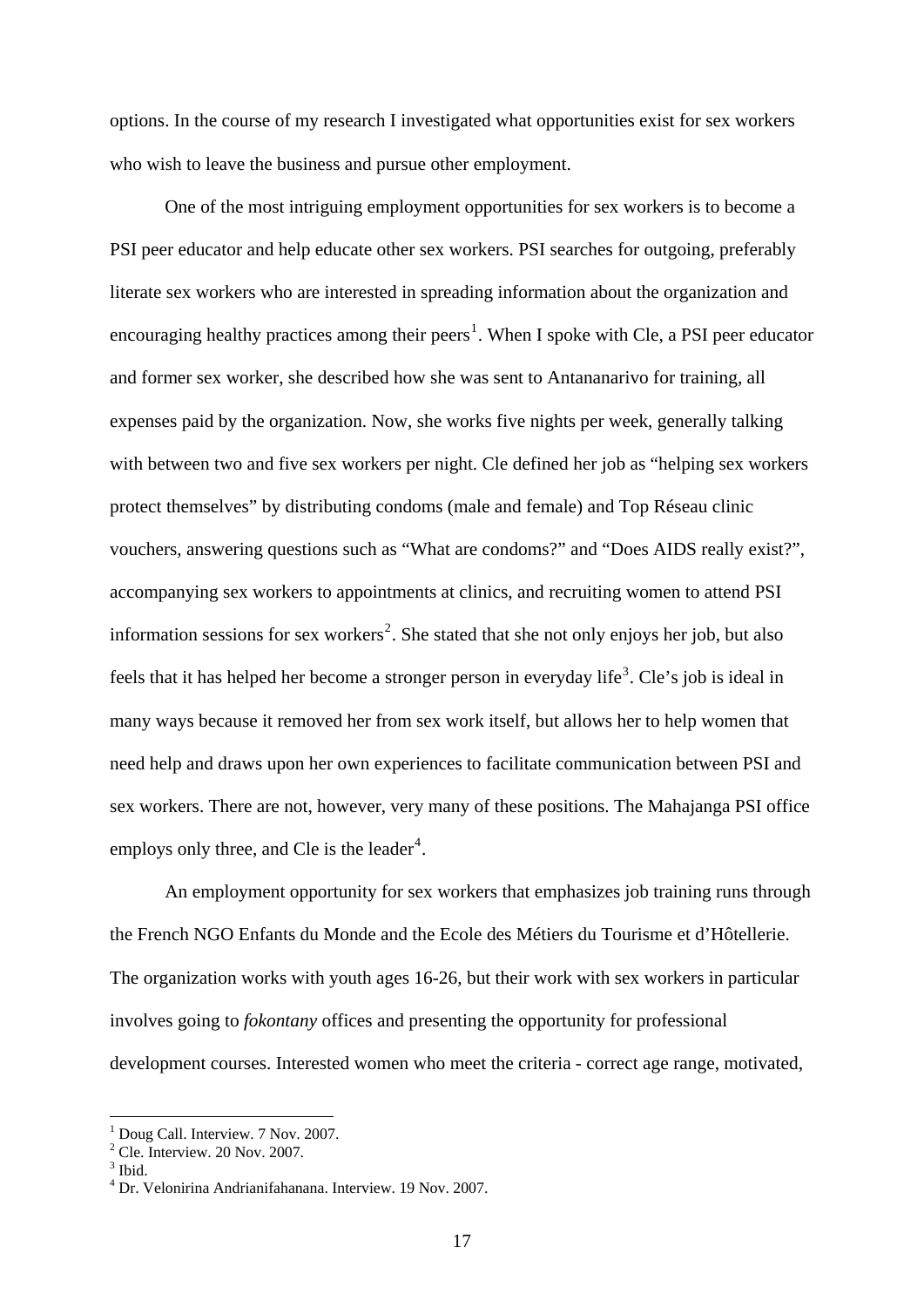options. In the course of my research I investigated what opportunities exist for sex workers who wish to leave the business and pursue other employment.

 One of the most intriguing employment opportunities for sex workers is to become a PSI peer educator and help educate other sex workers. PSI searches for outgoing, preferably literate sex workers who are interested in spreading information about the organization and encouraging healthy practices among their peers<sup>[1](#page-19-0)</sup>. When I spoke with Cle, a PSI peer educator and former sex worker, she described how she was sent to Antananarivo for training, all expenses paid by the organization. Now, she works five nights per week, generally talking with between two and five sex workers per night. Cle defined her job as "helping sex workers protect themselves" by distributing condoms (male and female) and Top Réseau clinic vouchers, answering questions such as "What are condoms?" and "Does AIDS really exist?", accompanying sex workers to appointments at clinics, and recruiting women to attend PSI information sessions for sex workers<sup>[2](#page-19-1)</sup>. She stated that she not only enjoys her job, but also feels that it has helped her become a stronger person in everyday life<sup>[3](#page-19-2)</sup>. Cle's job is ideal in many ways because it removed her from sex work itself, but allows her to help women that need help and draws upon her own experiences to facilitate communication between PSI and sex workers. There are not, however, very many of these positions. The Mahajanga PSI office employs only three, and Cle is the leader<sup>[4](#page-19-3)</sup>.

 An employment opportunity for sex workers that emphasizes job training runs through the French NGO Enfants du Monde and the Ecole des Métiers du Tourisme et d'Hôtellerie. The organization works with youth ages 16-26, but their work with sex workers in particular involves going to *fokontany* offices and presenting the opportunity for professional development courses. Interested women who meet the criteria - correct age range, motivated,

<span id="page-19-0"></span><sup>&</sup>lt;sup>1</sup> Doug Call. Interview. 7 Nov. 2007.

<sup>2</sup> Cle. Interview. 20 Nov. 2007.

<span id="page-19-2"></span><span id="page-19-1"></span><sup>&</sup>lt;sup>3</sup> Ibid.

<span id="page-19-3"></span><sup>4</sup> Dr. Velonirina Andrianifahanana. Interview. 19 Nov. 2007.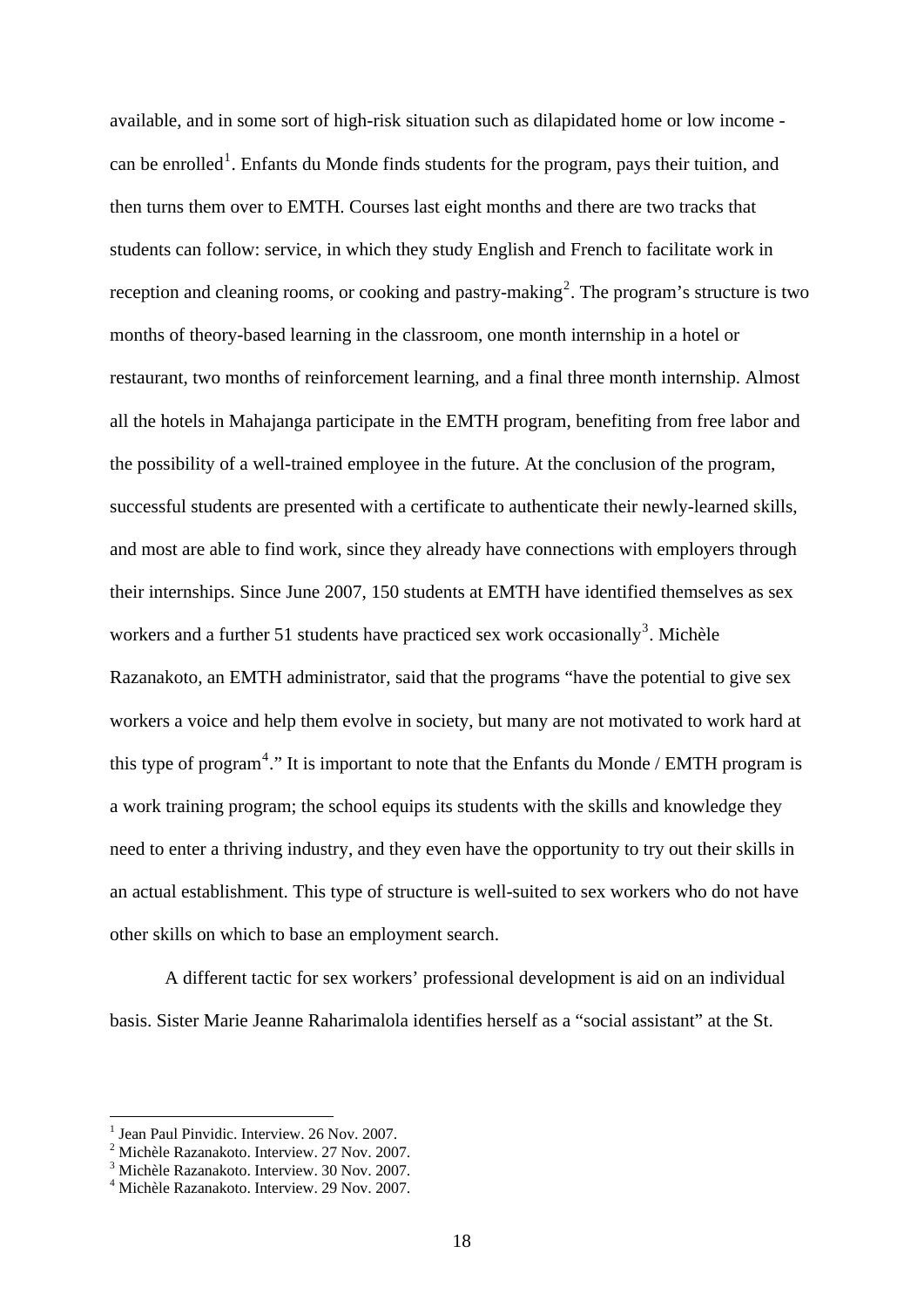available, and in some sort of high-risk situation such as dilapidated home or low income - can be enrolled<sup>[1](#page-20-0)</sup>. Enfants du Monde finds students for the program, pays their tuition, and then turns them over to EMTH. Courses last eight months and there are two tracks that students can follow: service, in which they study English and French to facilitate work in reception and cleaning rooms, or cooking and pastry-making<sup>[2](#page-20-1)</sup>. The program's structure is two months of theory-based learning in the classroom, one month internship in a hotel or restaurant, two months of reinforcement learning, and a final three month internship. Almost all the hotels in Mahajanga participate in the EMTH program, benefiting from free labor and the possibility of a well-trained employee in the future. At the conclusion of the program, successful students are presented with a certificate to authenticate their newly-learned skills, and most are able to find work, since they already have connections with employers through their internships. Since June 2007, 150 students at EMTH have identified themselves as sex workers and a further 51 students have practiced sex work occasionally<sup>[3](#page-20-2)</sup>. Michèle Razanakoto, an EMTH administrator, said that the programs "have the potential to give sex workers a voice and help them evolve in society, but many are not motivated to work hard at this type of program<sup>[4](#page-20-3)</sup>." It is important to note that the Enfants du Monde / EMTH program is a work training program; the school equips its students with the skills and knowledge they need to enter a thriving industry, and they even have the opportunity to try out their skills in an actual establishment. This type of structure is well-suited to sex workers who do not have other skills on which to base an employment search.

 A different tactic for sex workers' professional development is aid on an individual basis. Sister Marie Jeanne Raharimalola identifies herself as a "social assistant" at the St.

<span id="page-20-0"></span><sup>&</sup>lt;sup>1</sup> Jean Paul Pinvidic. Interview. 26 Nov. 2007.

<span id="page-20-1"></span><sup>&</sup>lt;sup>2</sup> Michèle Razanakoto. Interview. 27 Nov. 2007.<br><sup>3</sup> Michèle Bazanakoto. Interview. 20 Nov. 2007.

<span id="page-20-2"></span><sup>&</sup>lt;sup>3</sup> Michèle Razanakoto. Interview. 30 Nov. 2007.

<span id="page-20-3"></span>Michèle Razanakoto. Interview. 29 Nov. 2007.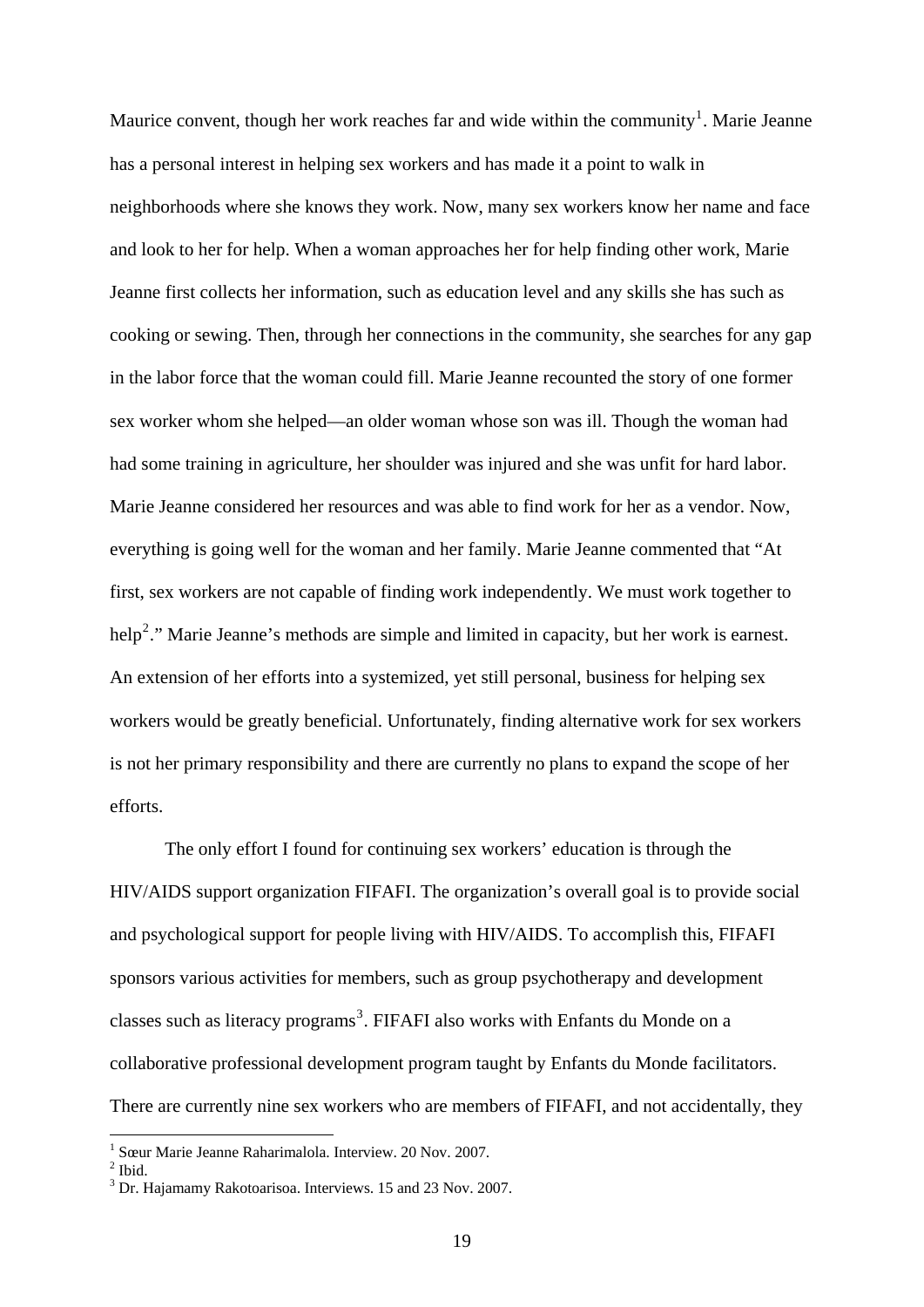Maurice convent, though her work reaches far and wide within the community<sup>[1](#page-21-0)</sup>. Marie Jeanne has a personal interest in helping sex workers and has made it a point to walk in neighborhoods where she knows they work. Now, many sex workers know her name and face and look to her for help. When a woman approaches her for help finding other work, Marie Jeanne first collects her information, such as education level and any skills she has such as cooking or sewing. Then, through her connections in the community, she searches for any gap in the labor force that the woman could fill. Marie Jeanne recounted the story of one former sex worker whom she helped—an older woman whose son was ill. Though the woman had had some training in agriculture, her shoulder was injured and she was unfit for hard labor. Marie Jeanne considered her resources and was able to find work for her as a vendor. Now, everything is going well for the woman and her family. Marie Jeanne commented that "At first, sex workers are not capable of finding work independently. We must work together to help<sup>[2](#page-21-1)</sup>." Marie Jeanne's methods are simple and limited in capacity, but her work is earnest. An extension of her efforts into a systemized, yet still personal, business for helping sex workers would be greatly beneficial. Unfortunately, finding alternative work for sex workers is not her primary responsibility and there are currently no plans to expand the scope of her efforts.

 The only effort I found for continuing sex workers' education is through the HIV/AIDS support organization FIFAFI. The organization's overall goal is to provide social and psychological support for people living with HIV/AIDS. To accomplish this, FIFAFI sponsors various activities for members, such as group psychotherapy and development classes such as literacy programs<sup>[3](#page-21-2)</sup>. FIFAFI also works with Enfants du Monde on a collaborative professional development program taught by Enfants du Monde facilitators. There are currently nine sex workers who are members of FIFAFI, and not accidentally, they

<span id="page-21-0"></span><sup>1</sup> Sœur Marie Jeanne Raharimalola. Interview. 20 Nov. 2007.

<span id="page-21-1"></span> $<sup>2</sup>$  Ibid.</sup>

<span id="page-21-2"></span><sup>&</sup>lt;sup>3</sup> Dr. Hajamamy Rakotoarisoa. Interviews. 15 and 23 Nov. 2007.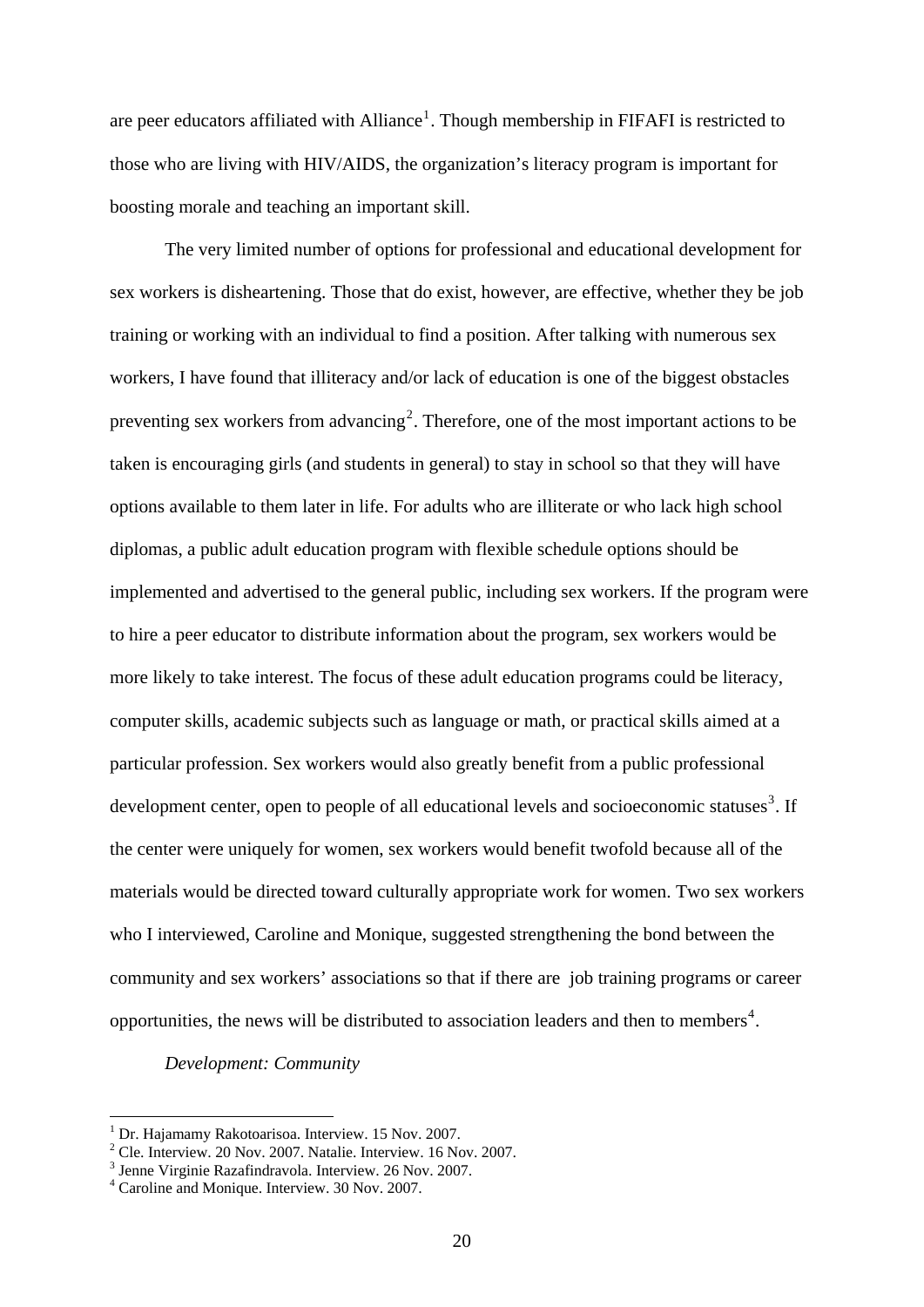are peer educators affiliated with Alliance<sup>[1](#page-22-0)</sup>. Though membership in FIFAFI is restricted to those who are living with HIV/AIDS, the organization's literacy program is important for boosting morale and teaching an important skill.

 The very limited number of options for professional and educational development for sex workers is disheartening. Those that do exist, however, are effective, whether they be job training or working with an individual to find a position. After talking with numerous sex workers, I have found that illiteracy and/or lack of education is one of the biggest obstacles preventing sex workers from advancing<sup>[2](#page-22-1)</sup>. Therefore, one of the most important actions to be taken is encouraging girls (and students in general) to stay in school so that they will have options available to them later in life. For adults who are illiterate or who lack high school diplomas, a public adult education program with flexible schedule options should be implemented and advertised to the general public, including sex workers. If the program were to hire a peer educator to distribute information about the program, sex workers would be more likely to take interest. The focus of these adult education programs could be literacy, computer skills, academic subjects such as language or math, or practical skills aimed at a particular profession. Sex workers would also greatly benefit from a public professional development center, open to people of all educational levels and socioeconomic statuses<sup>[3](#page-22-2)</sup>. If the center were uniquely for women, sex workers would benefit twofold because all of the materials would be directed toward culturally appropriate work for women. Two sex workers who I interviewed, Caroline and Monique, suggested strengthening the bond between the community and sex workers' associations so that if there are job training programs or career opportunities, the news will be distributed to association leaders and then to members<sup>[4](#page-22-3)</sup>.

## *Development: Community*

<sup>&</sup>lt;sup>1</sup> Dr. Hajamamy Rakotoarisoa. Interview. 15 Nov. 2007.

<span id="page-22-1"></span><span id="page-22-0"></span><sup>&</sup>lt;sup>2</sup> Cle. Interview. 20 Nov. 2007. Natalie. Interview. 16 Nov. 2007.  $\frac{3}{2}$  Janna Virginia Bazafindraughs Interview. 26 Nov. 2007.

<span id="page-22-2"></span> $3$  Jenne Virginie Razafindravola. Interview. 26 Nov. 2007.

<span id="page-22-3"></span>Caroline and Monique. Interview. 30 Nov. 2007.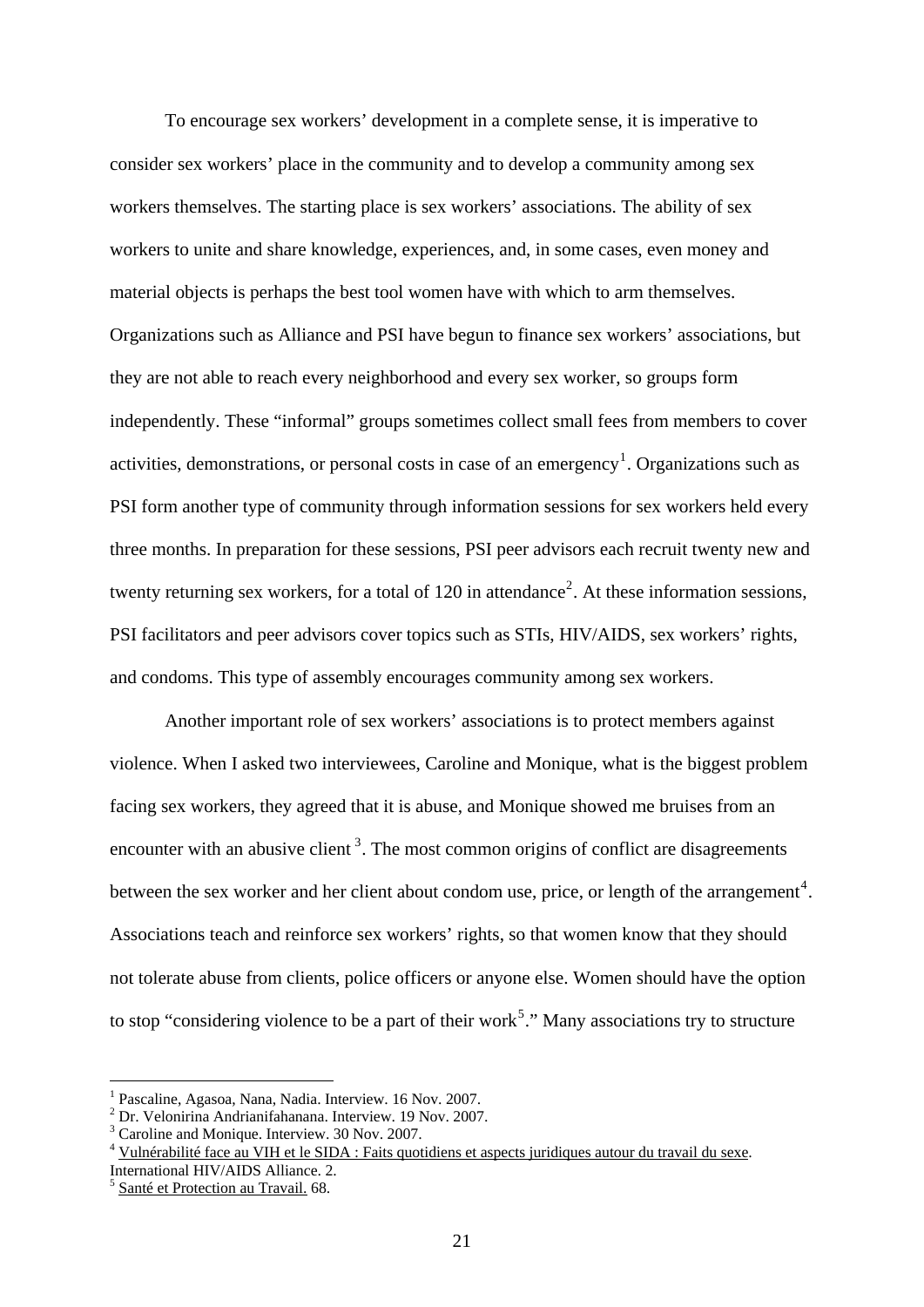To encourage sex workers' development in a complete sense, it is imperative to consider sex workers' place in the community and to develop a community among sex workers themselves. The starting place is sex workers' associations. The ability of sex workers to unite and share knowledge, experiences, and, in some cases, even money and material objects is perhaps the best tool women have with which to arm themselves. Organizations such as Alliance and PSI have begun to finance sex workers' associations, but they are not able to reach every neighborhood and every sex worker, so groups form independently. These "informal" groups sometimes collect small fees from members to cover activities, demonstrations, or personal costs in case of an emergency<sup>[1](#page-23-0)</sup>. Organizations such as PSI form another type of community through information sessions for sex workers held every three months. In preparation for these sessions, PSI peer advisors each recruit twenty new and twenty returning sex workers, for a total of  $120$  $120$  $120$  in attendance<sup>2</sup>. At these information sessions, PSI facilitators and peer advisors cover topics such as STIs, HIV/AIDS, sex workers' rights, and condoms. This type of assembly encourages community among sex workers.

 Another important role of sex workers' associations is to protect members against violence. When I asked two interviewees, Caroline and Monique, what is the biggest problem facing sex workers, they agreed that it is abuse, and Monique showed me bruises from an encounter with an abusive client<sup>[3](#page-23-2)</sup>. The most common origins of conflict are disagreements between the sex worker and her client about condom use, price, or length of the arrangement<sup>[4](#page-23-3)</sup>. Associations teach and reinforce sex workers' rights, so that women know that they should not tolerate abuse from clients, police officers or anyone else. Women should have the option to stop "considering violence to be a part of their work<sup>[5](#page-23-4)</sup>." Many associations try to structure

<sup>1</sup> Pascaline, Agasoa, Nana, Nadia. Interview. 16 Nov. 2007.

<span id="page-23-1"></span><span id="page-23-0"></span><sup>2</sup> Dr. Velonirina Andrianifahanana. Interview. 19 Nov. 2007.

<span id="page-23-2"></span><sup>&</sup>lt;sup>3</sup> Caroline and Monique. Interview. 30 Nov. 2007.

<span id="page-23-3"></span><sup>&</sup>lt;sup>4</sup> Vulnérabilité face au VIH et le SIDA : Faits quotidiens et aspects juridiques autour du travail du sexe.

International HIV/AIDS Alliance. 2.

<span id="page-23-4"></span><sup>5</sup> Santé et Protection au Travail. 68.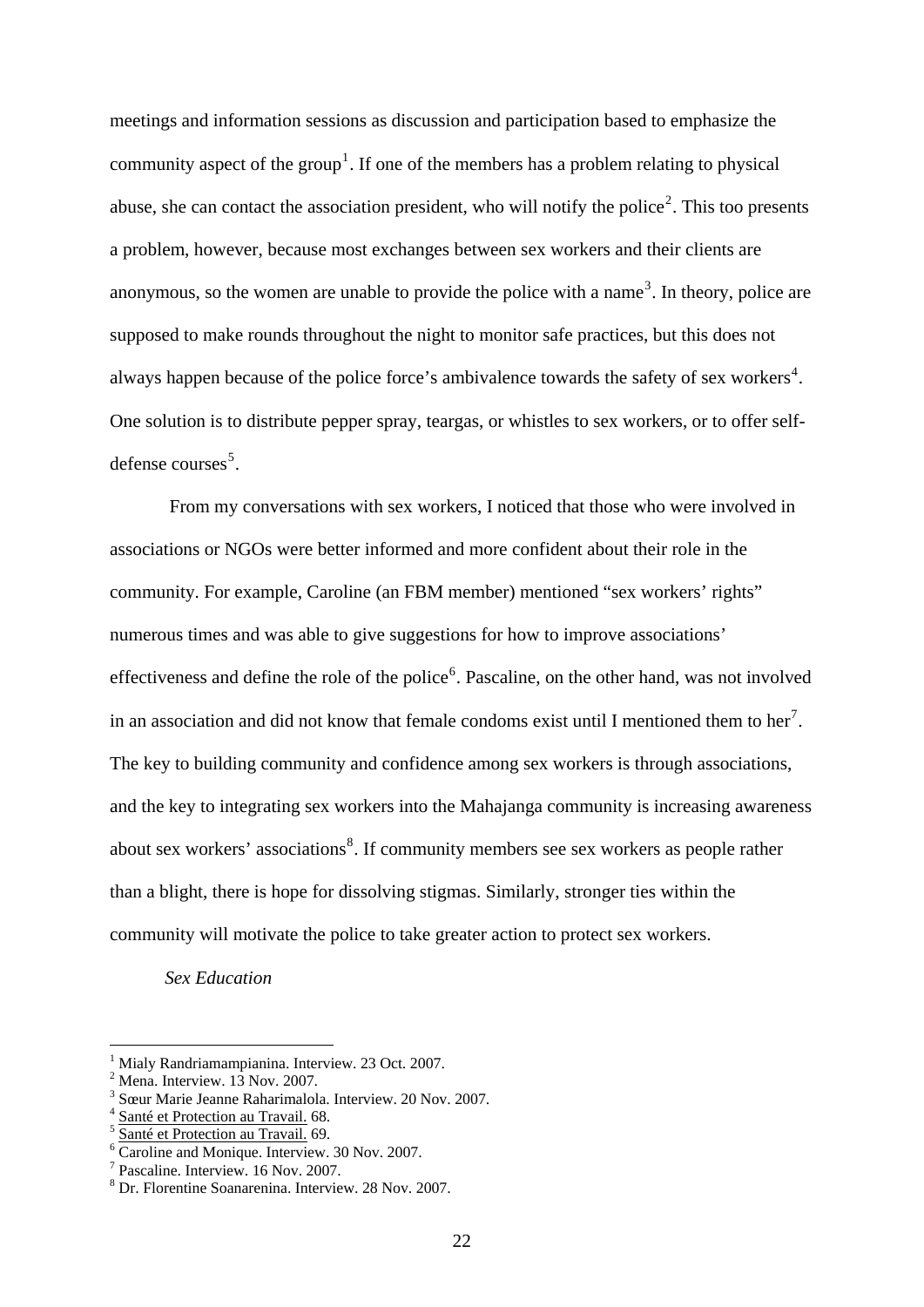meetings and information sessions as discussion and participation based to emphasize the community aspect of the group<sup>[1](#page-24-0)</sup>. If one of the members has a problem relating to physical abuse, she can contact the association president, who will notify the police<sup>[2](#page-24-1)</sup>. This too presents a problem, however, because most exchanges between sex workers and their clients are anonymous, so the women are unable to provide the police with a name<sup>[3](#page-24-2)</sup>. In theory, police are supposed to make rounds throughout the night to monitor safe practices, but this does not always happen because of the police force's ambivalence towards the safety of sex workers<sup>[4](#page-24-3)</sup>. One solution is to distribute pepper spray, teargas, or whistles to sex workers, or to offer self-defense courses<sup>[5](#page-24-4)</sup>.

 From my conversations with sex workers, I noticed that those who were involved in associations or NGOs were better informed and more confident about their role in the community. For example, Caroline (an FBM member) mentioned "sex workers' rights" numerous times and was able to give suggestions for how to improve associations' effectiveness and define the role of the police<sup>[6](#page-24-5)</sup>. Pascaline, on the other hand, was not involved in an association and did not know that female condoms exist until I mentioned them to her<sup>[7](#page-24-6)</sup>. The key to building community and confidence among sex workers is through associations, and the key to integrating sex workers into the Mahajanga community is increasing awareness about sex workers' associations<sup>[8](#page-24-7)</sup>. If community members see sex workers as people rather than a blight, there is hope for dissolving stigmas. Similarly, stronger ties within the community will motivate the police to take greater action to protect sex workers.

*Sex Education* 

<span id="page-24-0"></span><sup>1</sup> Mialy Randriamampianina. Interview. 23 Oct. 2007.

<span id="page-24-1"></span> $<sup>2</sup>$  Mena. Interview. 13 Nov. 2007.</sup>

<span id="page-24-2"></span><sup>3</sup> Sœur Marie Jeanne Raharimalola. Interview. 20 Nov. 2007.<br>Santé et Protection au Travail. 68.

<span id="page-24-3"></span>

<span id="page-24-4"></span>Santé et Protection au Travail. 69.

<span id="page-24-5"></span>Caroline and Monique. Interview. 30 Nov. 2007.

<span id="page-24-6"></span><sup>7</sup> Pascaline. Interview. 16 Nov. 2007.

<span id="page-24-7"></span><sup>8</sup> Dr. Florentine Soanarenina. Interview. 28 Nov. 2007.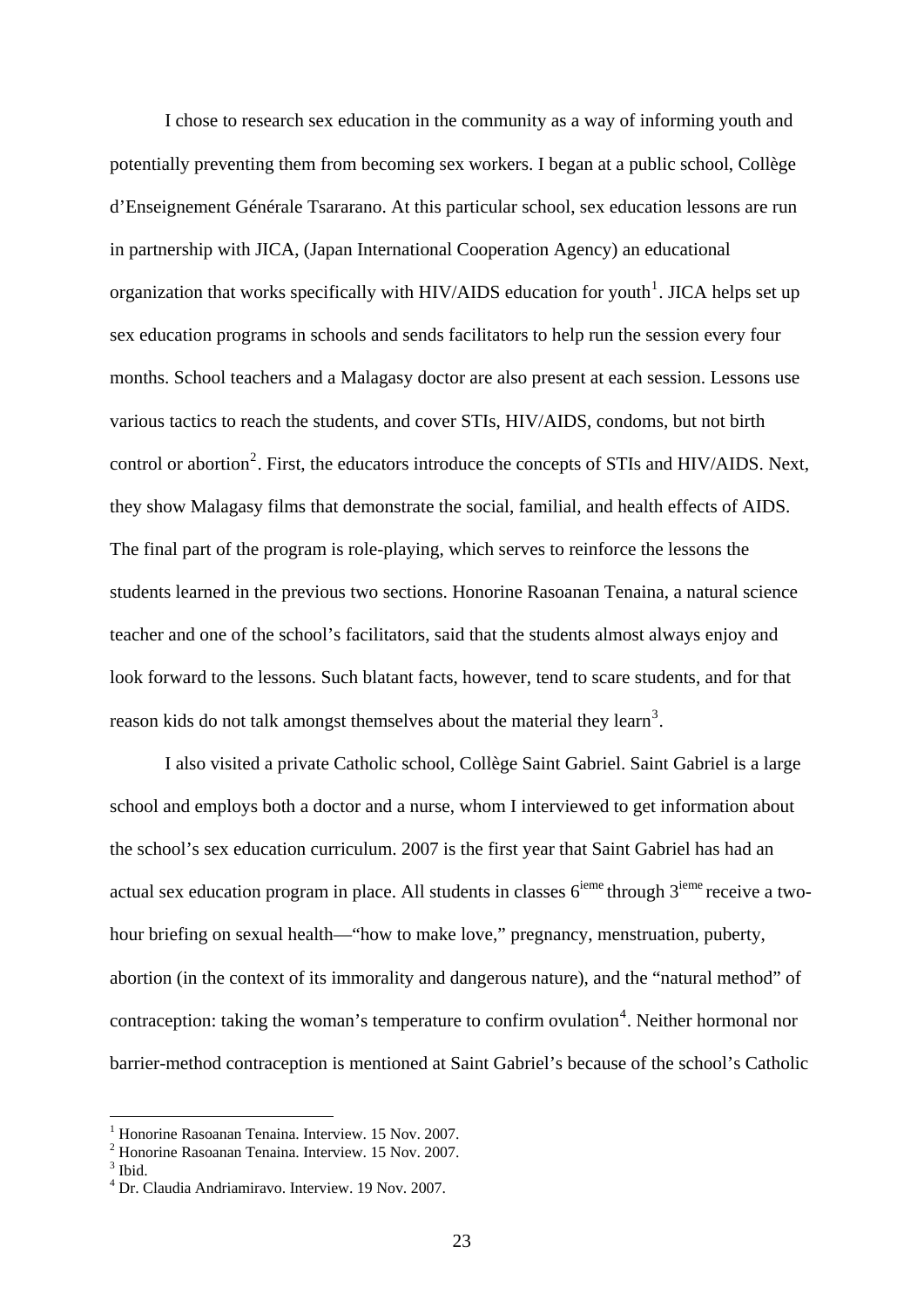I chose to research sex education in the community as a way of informing youth and potentially preventing them from becoming sex workers. I began at a public school, Collège d'Enseignement Générale Tsararano. At this particular school, sex education lessons are run in partnership with JICA, (Japan International Cooperation Agency) an educational organization that works specifically with HIV/AIDS education for youth<sup>[1](#page-25-0)</sup>. JICA helps set up sex education programs in schools and sends facilitators to help run the session every four months. School teachers and a Malagasy doctor are also present at each session. Lessons use various tactics to reach the students, and cover STIs, HIV/AIDS, condoms, but not birth control or abortion<sup>[2](#page-25-1)</sup>. First, the educators introduce the concepts of STIs and HIV/AIDS. Next, they show Malagasy films that demonstrate the social, familial, and health effects of AIDS. The final part of the program is role-playing, which serves to reinforce the lessons the students learned in the previous two sections. Honorine Rasoanan Tenaina, a natural science teacher and one of the school's facilitators, said that the students almost always enjoy and look forward to the lessons. Such blatant facts, however, tend to scare students, and for that reason kids do not talk amongst themselves about the material they learn<sup>[3](#page-25-2)</sup>.

I also visited a private Catholic school, Collège Saint Gabriel. Saint Gabriel is a large school and employs both a doctor and a nurse, whom I interviewed to get information about the school's sex education curriculum. 2007 is the first year that Saint Gabriel has had an actual sex education program in place. All students in classes  $6^{ieme}$  through  $3^{ieme}$  receive a twohour briefing on sexual health—"how to make love," pregnancy, menstruation, puberty, abortion (in the context of its immorality and dangerous nature), and the "natural method" of contraception: taking the woman's temperature to confirm ovulation<sup>[4](#page-25-3)</sup>. Neither hormonal nor barrier-method contraception is mentioned at Saint Gabriel's because of the school's Catholic

<sup>&</sup>lt;sup>1</sup> Honorine Rasoanan Tenaina. Interview. 15 Nov. 2007.

<span id="page-25-1"></span><span id="page-25-0"></span><sup>2</sup> Honorine Rasoanan Tenaina. Interview. 15 Nov. 2007.

<span id="page-25-2"></span><sup>&</sup>lt;sup>3</sup> Ibid.

<span id="page-25-3"></span><sup>4</sup> Dr. Claudia Andriamiravo. Interview. 19 Nov. 2007.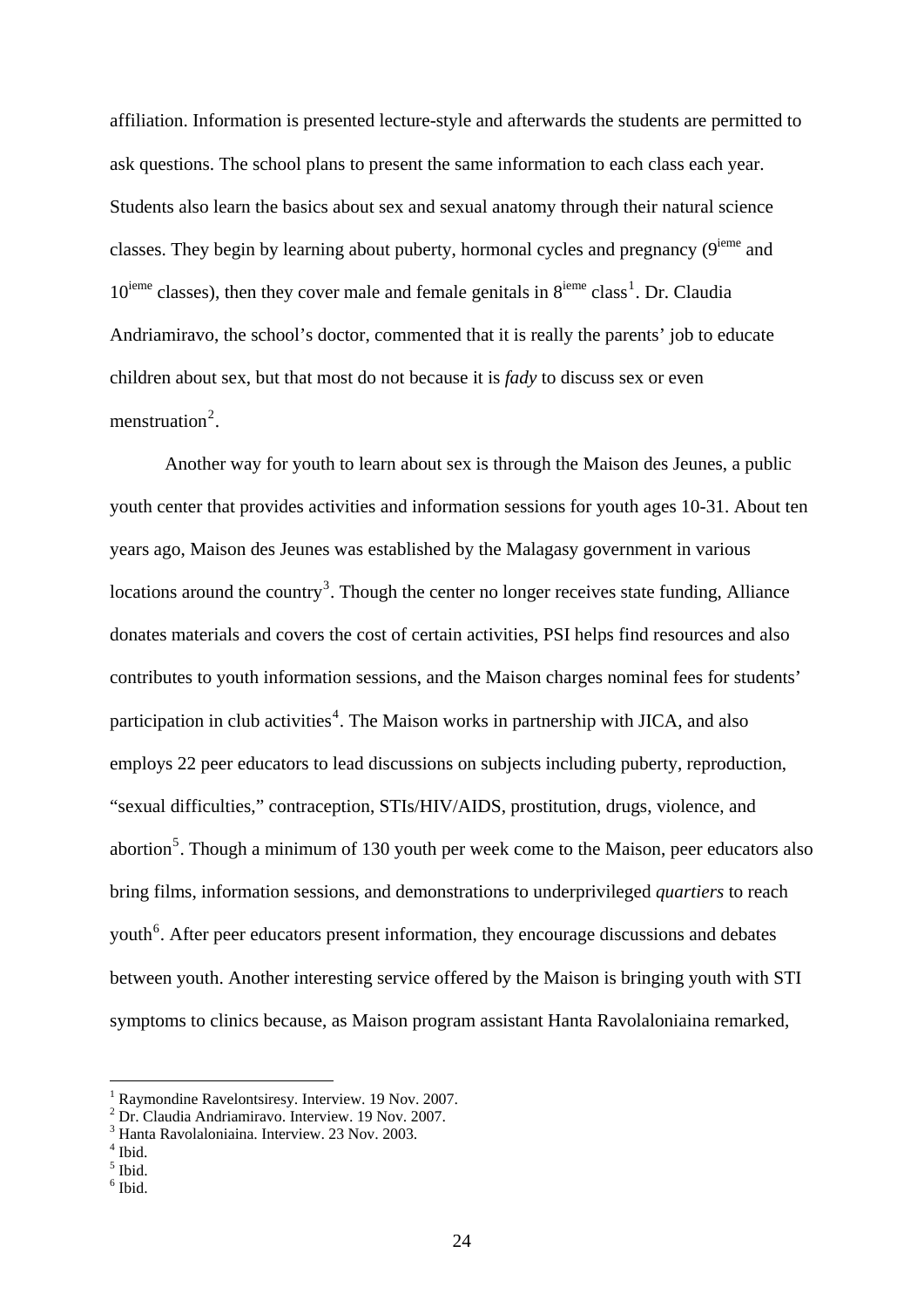affiliation. Information is presented lecture-style and afterwards the students are permitted to ask questions. The school plans to present the same information to each class each year. Students also learn the basics about sex and sexual anatomy through their natural science classes. They begin by learning about puberty, hormonal cycles and pregnancy  $(9^{ieme}$  and  $10^{ieme}$  $10^{ieme}$  classes), then they cover male and female genitals in  $8^{ieme}$  class<sup>1</sup>. Dr. Claudia Andriamiravo, the school's doctor, commented that it is really the parents' job to educate children about sex, but that most do not because it is *fady* to discuss sex or even menstruation<sup>[2](#page-26-1)</sup>.

Another way for youth to learn about sex is through the Maison des Jeunes, a public youth center that provides activities and information sessions for youth ages 10-31. About ten years ago, Maison des Jeunes was established by the Malagasy government in various locations around the country<sup>[3](#page-26-2)</sup>. Though the center no longer receives state funding, Alliance donates materials and covers the cost of certain activities, PSI helps find resources and also contributes to youth information sessions, and the Maison charges nominal fees for students' participation in club activities<sup>[4](#page-26-3)</sup>. The Maison works in partnership with JICA, and also employs 22 peer educators to lead discussions on subjects including puberty, reproduction, "sexual difficulties," contraception, STIs/HIV/AIDS, prostitution, drugs, violence, and abortion<sup>[5](#page-26-4)</sup>. Though a minimum of 130 youth per week come to the Maison, peer educators also bring films, information sessions, and demonstrations to underprivileged *quartiers* to reach youth<sup>[6](#page-26-5)</sup>. After peer educators present information, they encourage discussions and debates between youth. Another interesting service offered by the Maison is bringing youth with STI symptoms to clinics because, as Maison program assistant Hanta Ravolaloniaina remarked,

<sup>1</sup> Raymondine Ravelontsiresy. Interview. 19 Nov. 2007.

<span id="page-26-1"></span><span id="page-26-0"></span><sup>2</sup> Dr. Claudia Andriamiravo. Interview. 19 Nov. 2007.

<sup>3</sup> Hanta Ravolaloniaina. Interview. 23 Nov. 2003.

<span id="page-26-4"></span><span id="page-26-3"></span><span id="page-26-2"></span><sup>4</sup> Ibid.

<sup>5</sup> Ibid.

<span id="page-26-5"></span> $6$  Ibid.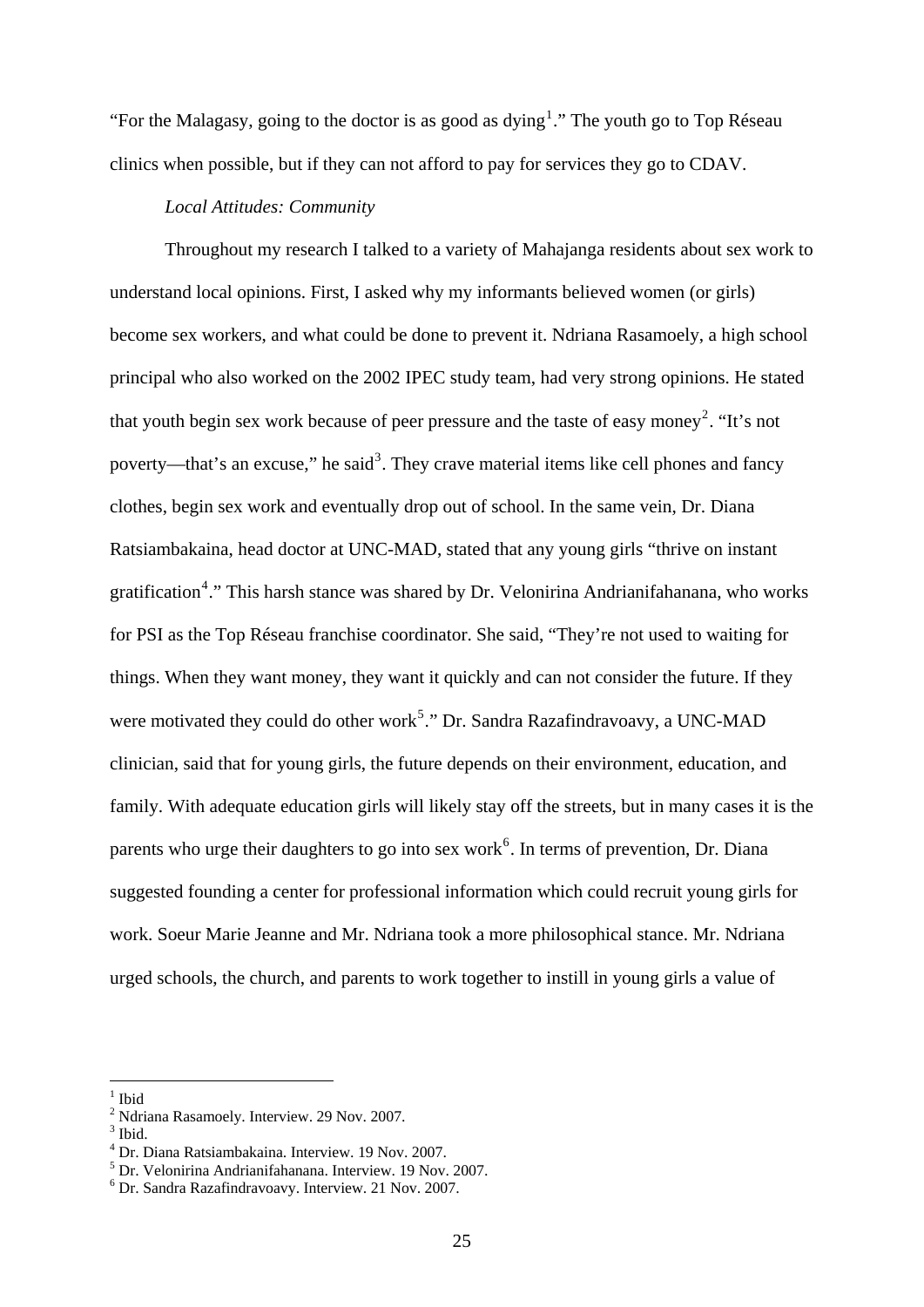"For the Malagasy, going to the doctor is as good as dying<sup>[1](#page-27-0)</sup>." The youth go to Top Réseau clinics when possible, but if they can not afford to pay for services they go to CDAV.

#### *Local Attitudes: Community*

Throughout my research I talked to a variety of Mahajanga residents about sex work to understand local opinions. First, I asked why my informants believed women (or girls) become sex workers, and what could be done to prevent it. Ndriana Rasamoely, a high school principal who also worked on the 2002 IPEC study team, had very strong opinions. He stated that youth begin sex work because of peer pressure and the taste of easy money<sup>[2](#page-27-1)</sup>. "It's not poverty—that's an excuse," he said<sup>[3](#page-27-2)</sup>. They crave material items like cell phones and fancy clothes, begin sex work and eventually drop out of school. In the same vein, Dr. Diana Ratsiambakaina, head doctor at UNC-MAD, stated that any young girls "thrive on instant gratification<sup>[4](#page-27-3)</sup>." This harsh stance was shared by Dr. Velonirina Andrianifahanana, who works for PSI as the Top Réseau franchise coordinator. She said, "They're not used to waiting for things. When they want money, they want it quickly and can not consider the future. If they were motivated they could do other work<sup>[5](#page-27-4)</sup>." Dr. Sandra Razafindravoavy, a UNC-MAD clinician, said that for young girls, the future depends on their environment, education, and family. With adequate education girls will likely stay off the streets, but in many cases it is the parents who urge their daughters to go into sex work<sup>[6](#page-27-5)</sup>. In terms of prevention, Dr. Diana suggested founding a center for professional information which could recruit young girls for work. Soeur Marie Jeanne and Mr. Ndriana took a more philosophical stance. Mr. Ndriana urged schools, the church, and parents to work together to instill in young girls a value of

<span id="page-27-0"></span><sup>1</sup> Ibid

<sup>&</sup>lt;sup>2</sup> Ndriana Rasamoely. Interview. 29 Nov. 2007.

<span id="page-27-2"></span><span id="page-27-1"></span> $3$  Ibid.

<span id="page-27-3"></span><sup>4</sup> Dr. Diana Ratsiambakaina. Interview. 19 Nov. 2007.

<sup>5</sup> Dr. Velonirina Andrianifahanana. Interview. 19 Nov. 2007.

<span id="page-27-5"></span><span id="page-27-4"></span><sup>6</sup> Dr. Sandra Razafindravoavy. Interview. 21 Nov. 2007.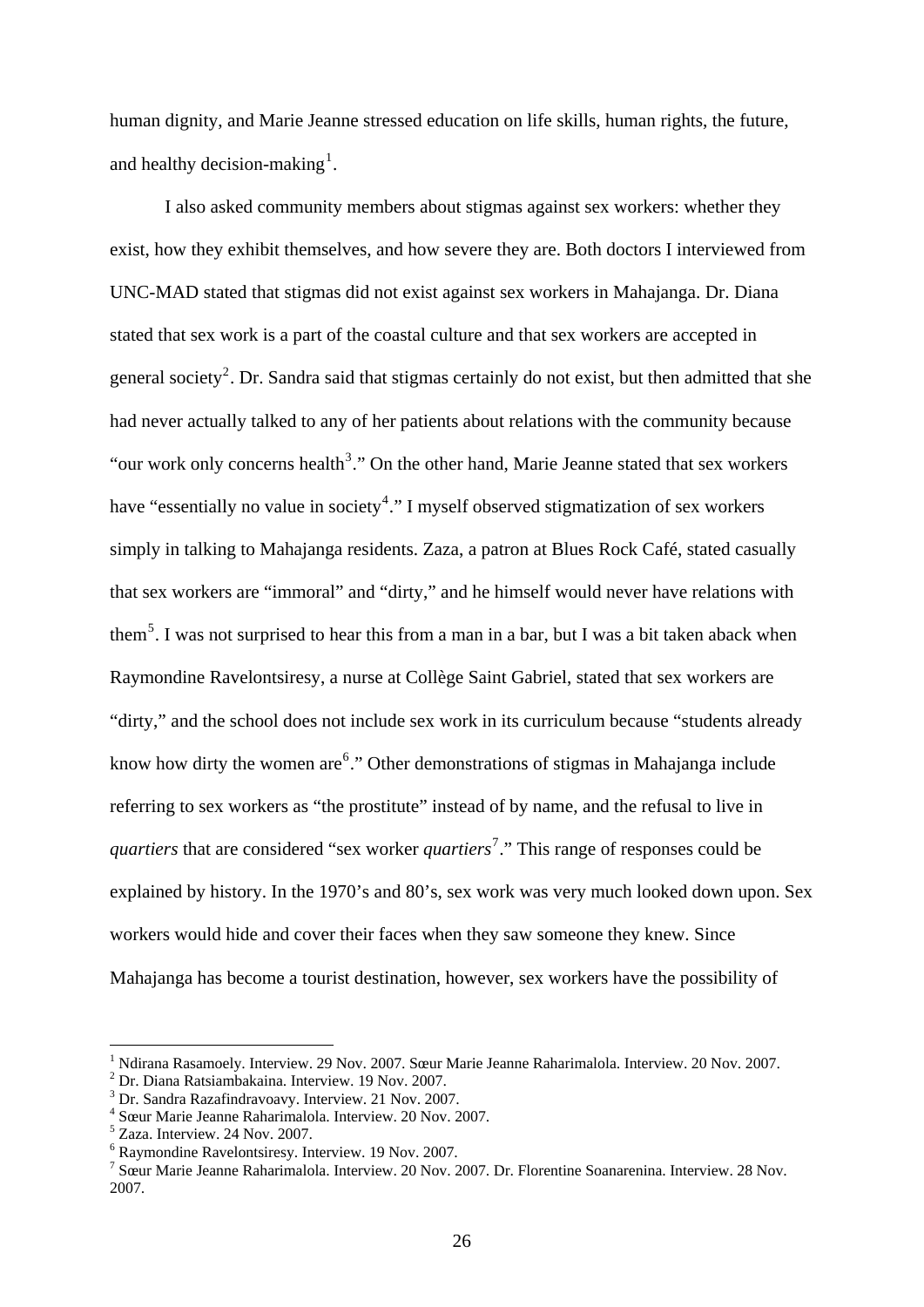human dignity, and Marie Jeanne stressed education on life skills, human rights, the future, and healthy decision-making<sup>[1](#page-28-0)</sup>.

 I also asked community members about stigmas against sex workers: whether they exist, how they exhibit themselves, and how severe they are. Both doctors I interviewed from UNC-MAD stated that stigmas did not exist against sex workers in Mahajanga. Dr. Diana stated that sex work is a part of the coastal culture and that sex workers are accepted in general society<sup>[2](#page-28-1)</sup>. Dr. Sandra said that stigmas certainly do not exist, but then admitted that she had never actually talked to any of her patients about relations with the community because "our work only concerns health<sup>[3](#page-28-2)</sup>." On the other hand, Marie Jeanne stated that sex workers have "essentially no value in society<sup>[4](#page-28-3)</sup>." I myself observed stigmatization of sex workers simply in talking to Mahajanga residents. Zaza, a patron at Blues Rock Café, stated casually that sex workers are "immoral" and "dirty," and he himself would never have relations with them<sup>[5](#page-28-4)</sup>. I was not surprised to hear this from a man in a bar, but I was a bit taken aback when Raymondine Ravelontsiresy, a nurse at Collège Saint Gabriel, stated that sex workers are "dirty," and the school does not include sex work in its curriculum because "students already know how dirty the women are  $6$ ." Other demonstrations of stigmas in Mahajanga include referring to sex workers as "the prostitute" instead of by name, and the refusal to live in *quartiers* that are considered "sex worker *quartiers*<sup>[7](#page-28-6)</sup>." This range of responses could be explained by history. In the 1970's and 80's, sex work was very much looked down upon. Sex workers would hide and cover their faces when they saw someone they knew. Since Mahajanga has become a tourist destination, however, sex workers have the possibility of

<span id="page-28-0"></span><sup>&</sup>lt;sup>1</sup> Ndirana Rasamoely. Interview. 29 Nov. 2007. Sœur Marie Jeanne Raharimalola. Interview. 20 Nov. 2007.

<span id="page-28-1"></span>Dr. Diana Ratsiambakaina. Interview. 19 Nov. 2007.

<span id="page-28-2"></span><sup>&</sup>lt;sup>3</sup> Dr. Sandra Razafindravoavy. Interview. 21 Nov. 2007.

<span id="page-28-3"></span><sup>4</sup> Sœur Marie Jeanne Raharimalola. Interview. 20 Nov. 2007.

<span id="page-28-4"></span><sup>5</sup> Zaza. Interview. 24 Nov. 2007.

<span id="page-28-5"></span><sup>6</sup> Raymondine Ravelontsiresy. Interview. 19 Nov. 2007.

<span id="page-28-6"></span><sup>7</sup> Sœur Marie Jeanne Raharimalola. Interview. 20 Nov. 2007. Dr. Florentine Soanarenina. Interview. 28 Nov. 2007.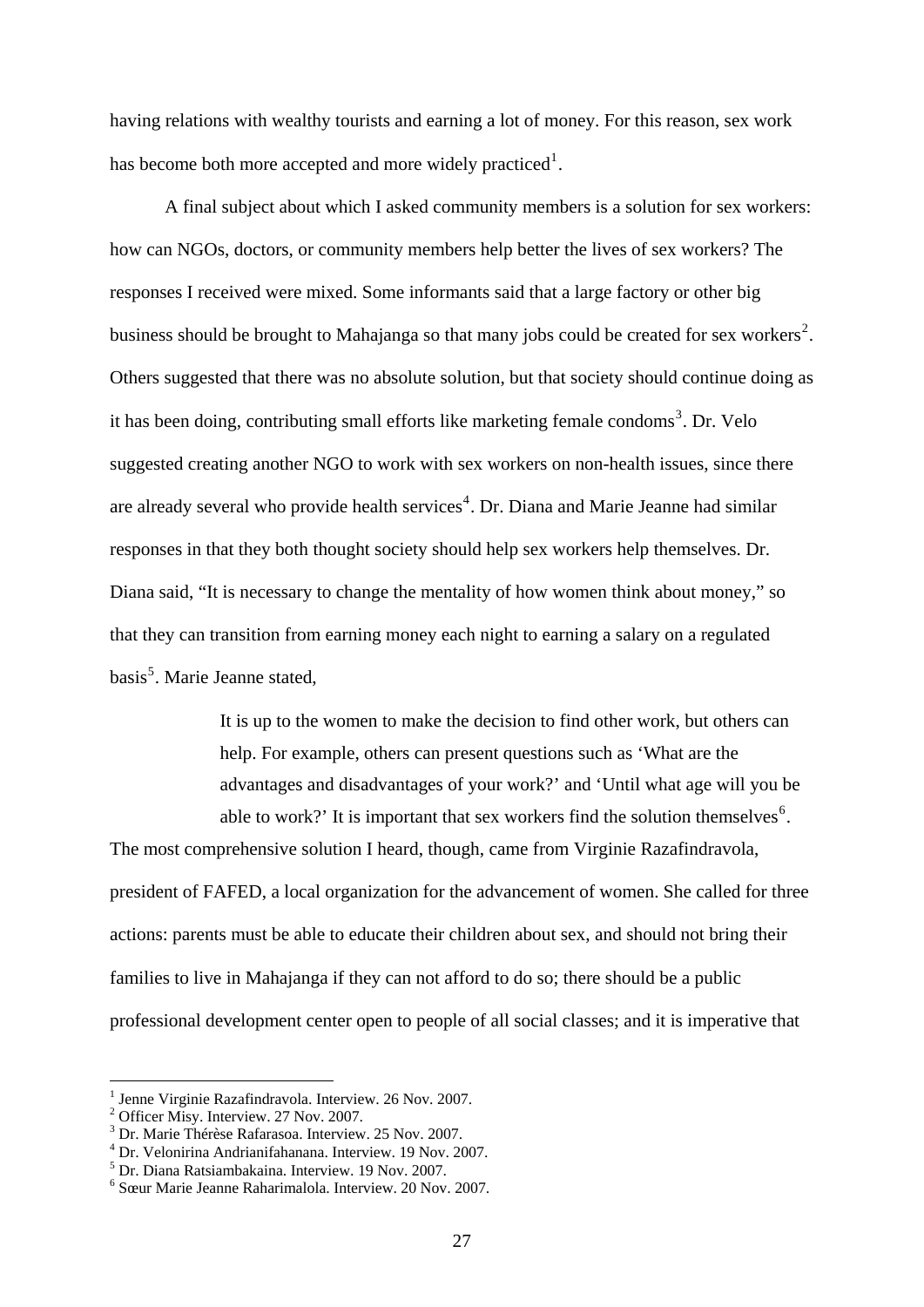having relations with wealthy tourists and earning a lot of money. For this reason, sex work has become both more accepted and more widely practiced<sup>[1](#page-29-0)</sup>.

 A final subject about which I asked community members is a solution for sex workers: how can NGOs, doctors, or community members help better the lives of sex workers? The responses I received were mixed. Some informants said that a large factory or other big business should be brought to Mahajanga so that many jobs could be created for sex workers<sup>[2](#page-29-1)</sup>. Others suggested that there was no absolute solution, but that society should continue doing as it has been doing, contributing small efforts like marketing female condoms<sup>[3](#page-29-2)</sup>. Dr. Velo suggested creating another NGO to work with sex workers on non-health issues, since there are already several who provide health services<sup>[4](#page-29-3)</sup>. Dr. Diana and Marie Jeanne had similar responses in that they both thought society should help sex workers help themselves. Dr. Diana said, "It is necessary to change the mentality of how women think about money," so that they can transition from earning money each night to earning a salary on a regulated basis<sup>[5](#page-29-4)</sup>. Marie Jeanne stated,

> It is up to the women to make the decision to find other work, but others can help. For example, others can present questions such as 'What are the advantages and disadvantages of your work?' and 'Until what age will you be able to work?' It is important that sex workers find the solution themselves<sup>[6](#page-29-5)</sup>.

The most comprehensive solution I heard, though, came from Virginie Razafindravola, president of FAFED, a local organization for the advancement of women. She called for three actions: parents must be able to educate their children about sex, and should not bring their families to live in Mahajanga if they can not afford to do so; there should be a public professional development center open to people of all social classes; and it is imperative that

<span id="page-29-0"></span><sup>&</sup>lt;sup>1</sup> Jenne Virginie Razafindravola. Interview. 26 Nov. 2007.<br><sup>2</sup> Officer Micy, Interview. 27 Nov. 2007.

<span id="page-29-1"></span><sup>&</sup>lt;sup>2</sup> Officer Misy. Interview. 27 Nov. 2007.

<span id="page-29-2"></span><sup>3</sup> Dr. Marie Thérèse Rafarasoa. Interview. 25 Nov. 2007.

<span id="page-29-3"></span><sup>4</sup> Dr. Velonirina Andrianifahanana. Interview. 19 Nov. 2007.

<span id="page-29-4"></span><sup>5</sup> Dr. Diana Ratsiambakaina. Interview. 19 Nov. 2007.

<span id="page-29-5"></span><sup>6</sup> Sœur Marie Jeanne Raharimalola. Interview. 20 Nov. 2007.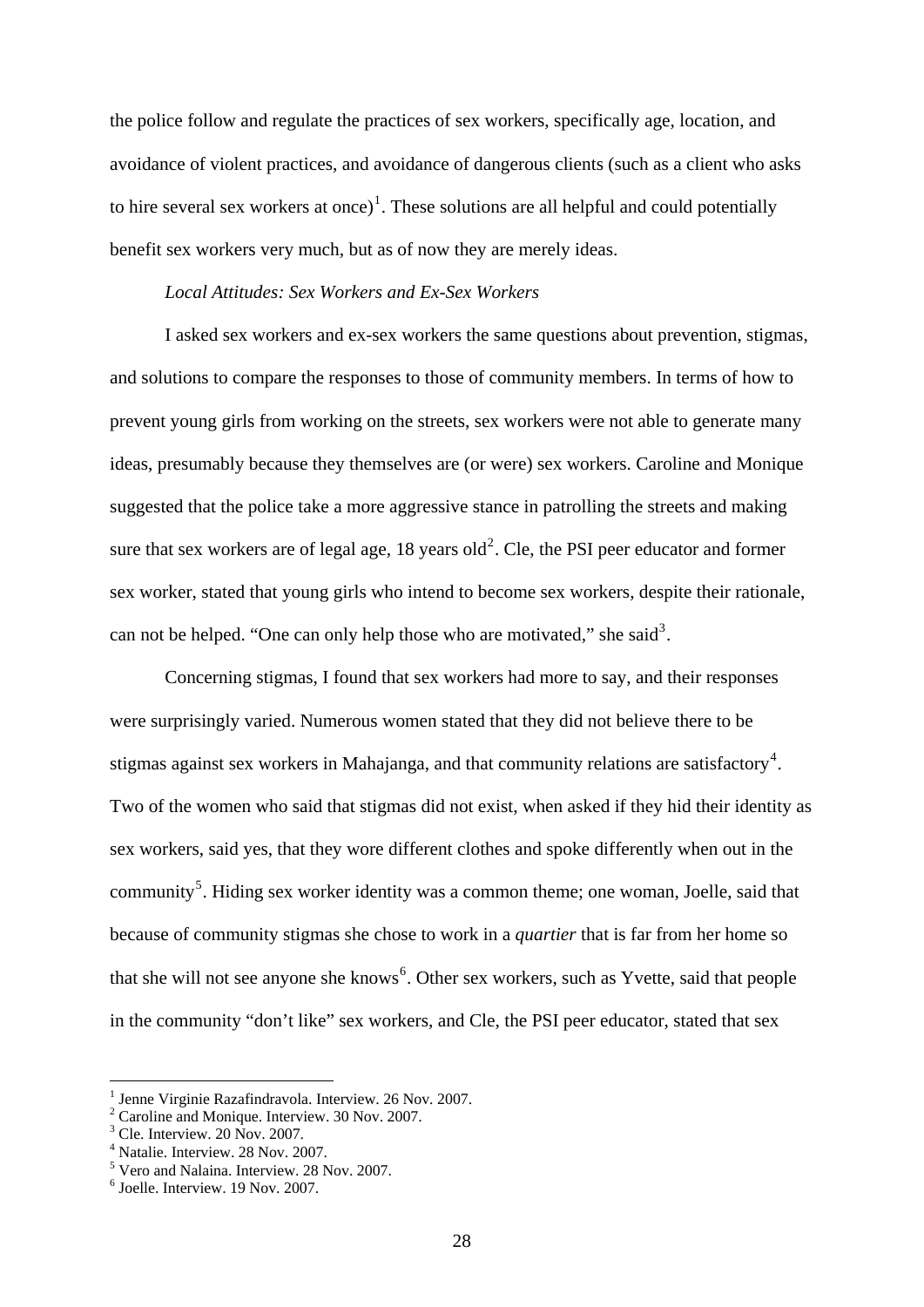the police follow and regulate the practices of sex workers, specifically age, location, and avoidance of violent practices, and avoidance of dangerous clients (such as a client who asks to hire several sex workers at once)<sup>[1](#page-30-0)</sup>. These solutions are all helpful and could potentially benefit sex workers very much, but as of now they are merely ideas.

# *Local Attitudes: Sex Workers and Ex-Sex Workers*

I asked sex workers and ex-sex workers the same questions about prevention, stigmas, and solutions to compare the responses to those of community members. In terms of how to prevent young girls from working on the streets, sex workers were not able to generate many ideas, presumably because they themselves are (or were) sex workers. Caroline and Monique suggested that the police take a more aggressive stance in patrolling the streets and making sure that sex workers are of legal age,  $18$  years old<sup>[2](#page-30-1)</sup>. Cle, the PSI peer educator and former sex worker, stated that young girls who intend to become sex workers, despite their rationale, can not be helped. "One can only help those who are motivated," she said<sup>[3](#page-30-2)</sup>.

 Concerning stigmas, I found that sex workers had more to say, and their responses were surprisingly varied. Numerous women stated that they did not believe there to be stigmas against sex workers in Mahajanga, and that community relations are satisfactory<sup>[4](#page-30-3)</sup>. Two of the women who said that stigmas did not exist, when asked if they hid their identity as sex workers, said yes, that they wore different clothes and spoke differently when out in the community<sup>[5](#page-30-4)</sup>. Hiding sex worker identity was a common theme; one woman, Joelle, said that because of community stigmas she chose to work in a *quartier* that is far from her home so that she will not see anyone she knows<sup>[6](#page-30-5)</sup>. Other sex workers, such as Yvette, said that people in the community "don't like" sex workers, and Cle, the PSI peer educator, stated that sex

<sup>&</sup>lt;sup>1</sup> Jenne Virginie Razafindravola. Interview. 26 Nov. 2007.<br><sup>2</sup> Ceroline and Monique, Interview. <sup>20</sup> Nov. 2007.

<span id="page-30-1"></span><span id="page-30-0"></span><sup>&</sup>lt;sup>2</sup> Caroline and Monique. Interview. 30 Nov. 2007.

<span id="page-30-2"></span><sup>&</sup>lt;sup>3</sup> Cle. Interview. 20 Nov. 2007.

<span id="page-30-3"></span><sup>4</sup> Natalie. Interview. 28 Nov. 2007.

<span id="page-30-4"></span><sup>5</sup> Vero and Nalaina. Interview. 28 Nov. 2007.

<span id="page-30-5"></span><sup>6</sup> Joelle. Interview. 19 Nov. 2007.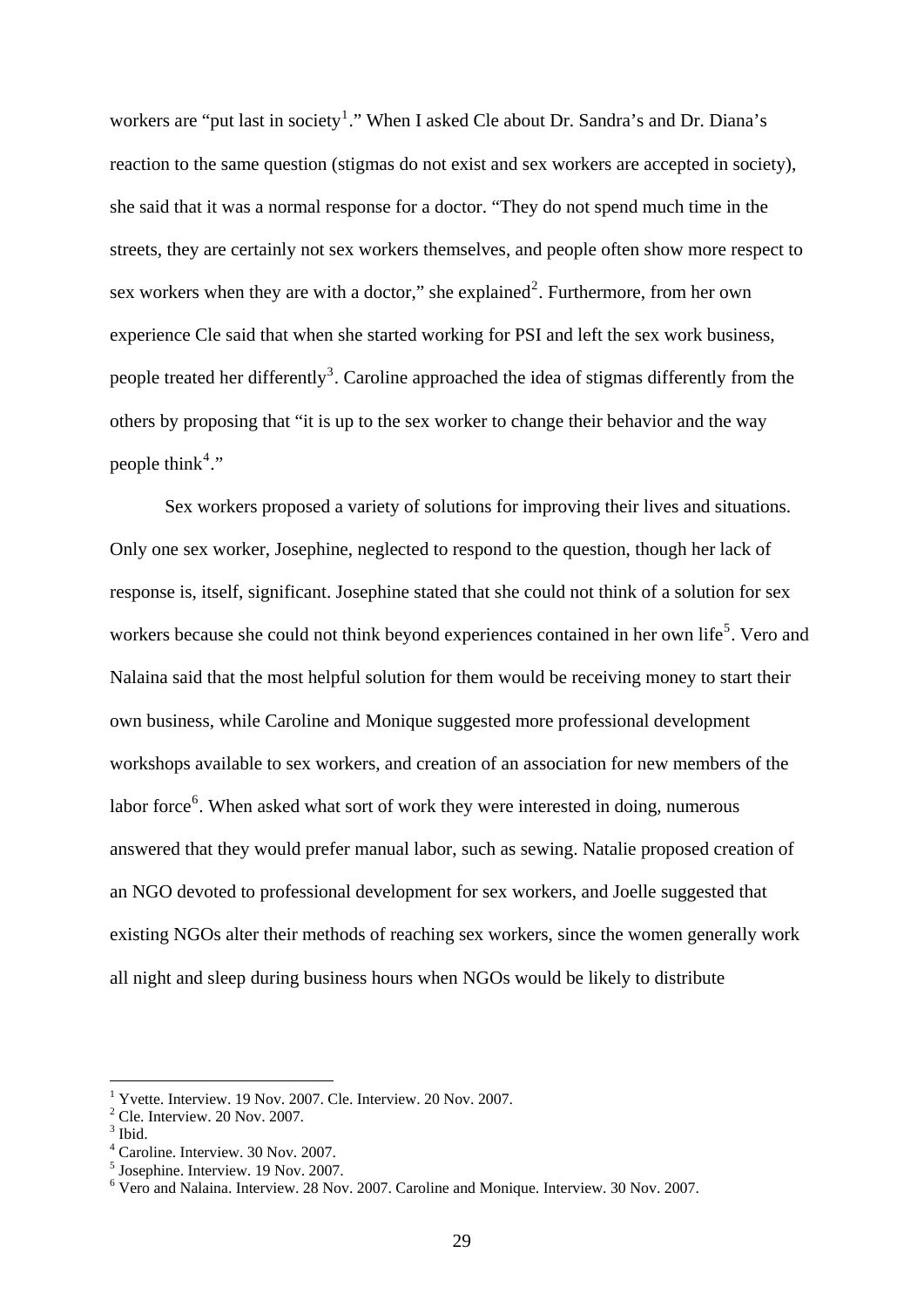workers are "put last in society<sup>[1](#page-31-0)</sup>." When I asked Cle about Dr. Sandra's and Dr. Diana's reaction to the same question (stigmas do not exist and sex workers are accepted in society), she said that it was a normal response for a doctor. "They do not spend much time in the streets, they are certainly not sex workers themselves, and people often show more respect to sex workers when they are with a doctor," she explained<sup>[2](#page-31-1)</sup>. Furthermore, from her own experience Cle said that when she started working for PSI and left the sex work business, people treated her differently<sup>[3](#page-31-2)</sup>. Caroline approached the idea of stigmas differently from the others by proposing that "it is up to the sex worker to change their behavior and the way people think<sup>[4](#page-31-3)</sup>."

 Sex workers proposed a variety of solutions for improving their lives and situations. Only one sex worker, Josephine, neglected to respond to the question, though her lack of response is, itself, significant. Josephine stated that she could not think of a solution for sex workers because she could not think beyond experiences contained in her own life<sup>[5](#page-31-4)</sup>. Vero and Nalaina said that the most helpful solution for them would be receiving money to start their own business, while Caroline and Monique suggested more professional development workshops available to sex workers, and creation of an association for new members of the labor force<sup>[6](#page-31-5)</sup>. When asked what sort of work they were interested in doing, numerous answered that they would prefer manual labor, such as sewing. Natalie proposed creation of an NGO devoted to professional development for sex workers, and Joelle suggested that existing NGOs alter their methods of reaching sex workers, since the women generally work all night and sleep during business hours when NGOs would be likely to distribute

<span id="page-31-1"></span><span id="page-31-0"></span><sup>1</sup> Yvette. Interview. 19 Nov. 2007. Cle. Interview. 20 Nov. 2007.

<span id="page-31-2"></span> $2^2$  Cle. Interview. 20 Nov. 2007.

<span id="page-31-3"></span> $3$  Ibid.

<span id="page-31-4"></span><sup>4</sup> Caroline. Interview. 30 Nov. 2007.

<span id="page-31-5"></span><sup>5</sup> Josephine. Interview. 19 Nov. 2007.

<sup>6</sup> Vero and Nalaina. Interview. 28 Nov. 2007. Caroline and Monique. Interview. 30 Nov. 2007.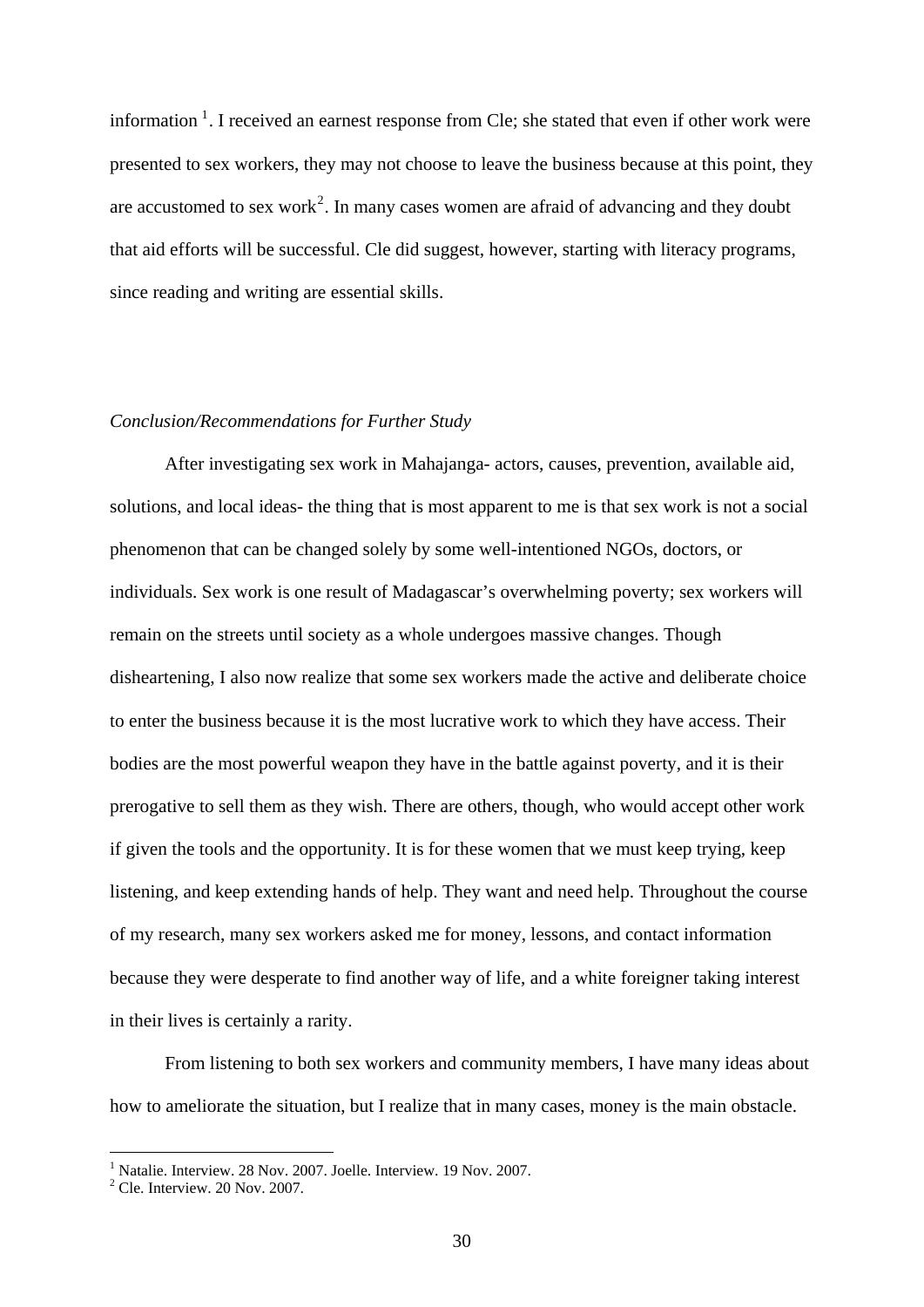information  $1$ . I received an earnest response from Cle; she stated that even if other work were presented to sex workers, they may not choose to leave the business because at this point, they are accustomed to sex work<sup>[2](#page-32-1)</sup>. In many cases women are afraid of advancing and they doubt that aid efforts will be successful. Cle did suggest, however, starting with literacy programs, since reading and writing are essential skills.

#### *Conclusion/Recommendations for Further Study*

After investigating sex work in Mahajanga- actors, causes, prevention, available aid, solutions, and local ideas- the thing that is most apparent to me is that sex work is not a social phenomenon that can be changed solely by some well-intentioned NGOs, doctors, or individuals. Sex work is one result of Madagascar's overwhelming poverty; sex workers will remain on the streets until society as a whole undergoes massive changes. Though disheartening, I also now realize that some sex workers made the active and deliberate choice to enter the business because it is the most lucrative work to which they have access. Their bodies are the most powerful weapon they have in the battle against poverty, and it is their prerogative to sell them as they wish. There are others, though, who would accept other work if given the tools and the opportunity. It is for these women that we must keep trying, keep listening, and keep extending hands of help. They want and need help. Throughout the course of my research, many sex workers asked me for money, lessons, and contact information because they were desperate to find another way of life, and a white foreigner taking interest in their lives is certainly a rarity.

 From listening to both sex workers and community members, I have many ideas about how to ameliorate the situation, but I realize that in many cases, money is the main obstacle.

<span id="page-32-0"></span><sup>&</sup>lt;sup>1</sup> Natalie. Interview. 28 Nov. 2007. Joelle. Interview. 19 Nov. 2007.

<span id="page-32-1"></span> $2^2$  Cle. Interview. 20 Nov. 2007.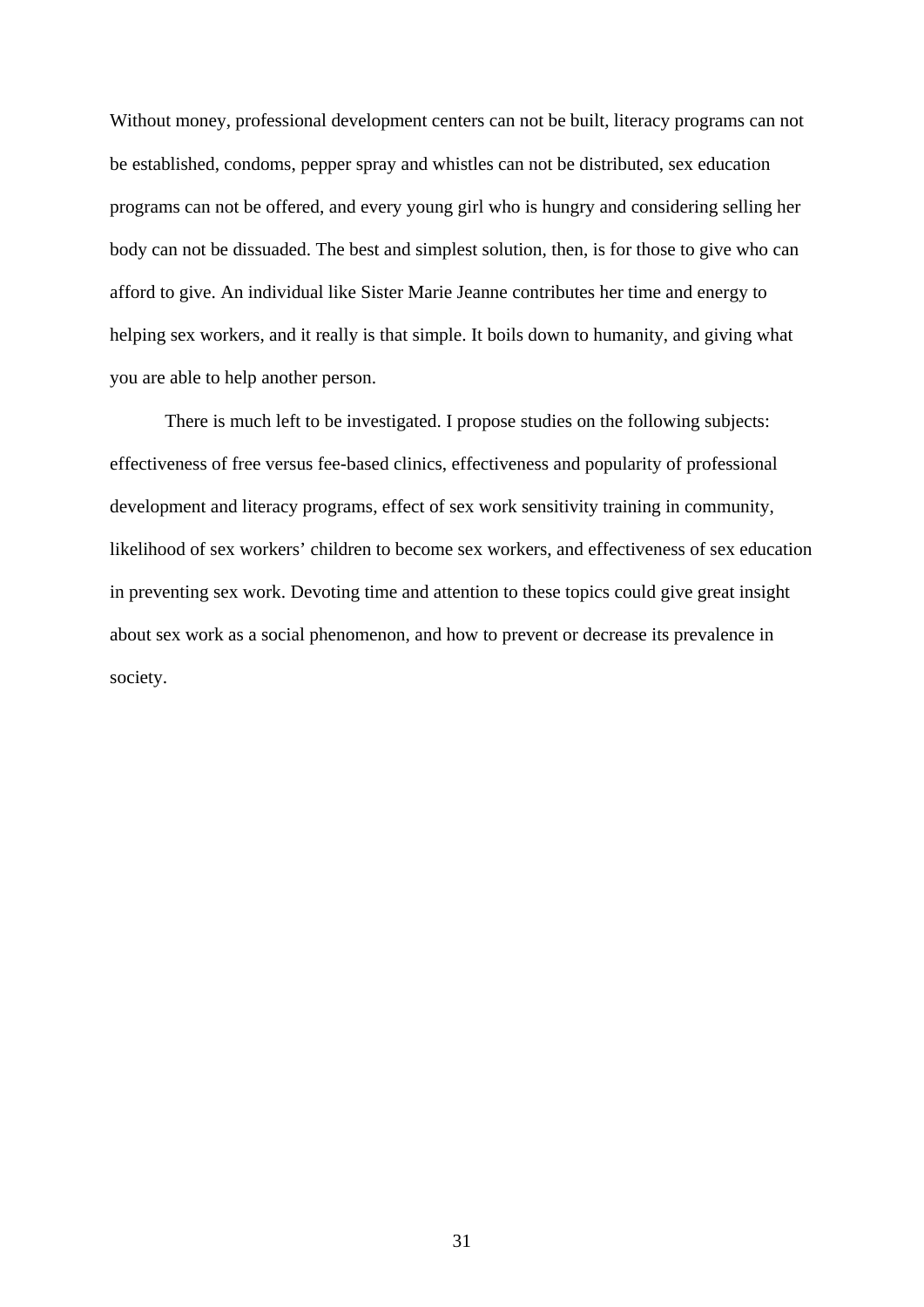Without money, professional development centers can not be built, literacy programs can not be established, condoms, pepper spray and whistles can not be distributed, sex education programs can not be offered, and every young girl who is hungry and considering selling her body can not be dissuaded. The best and simplest solution, then, is for those to give who can afford to give. An individual like Sister Marie Jeanne contributes her time and energy to helping sex workers, and it really is that simple. It boils down to humanity, and giving what you are able to help another person.

 There is much left to be investigated. I propose studies on the following subjects: effectiveness of free versus fee-based clinics, effectiveness and popularity of professional development and literacy programs, effect of sex work sensitivity training in community, likelihood of sex workers' children to become sex workers, and effectiveness of sex education in preventing sex work. Devoting time and attention to these topics could give great insight about sex work as a social phenomenon, and how to prevent or decrease its prevalence in society.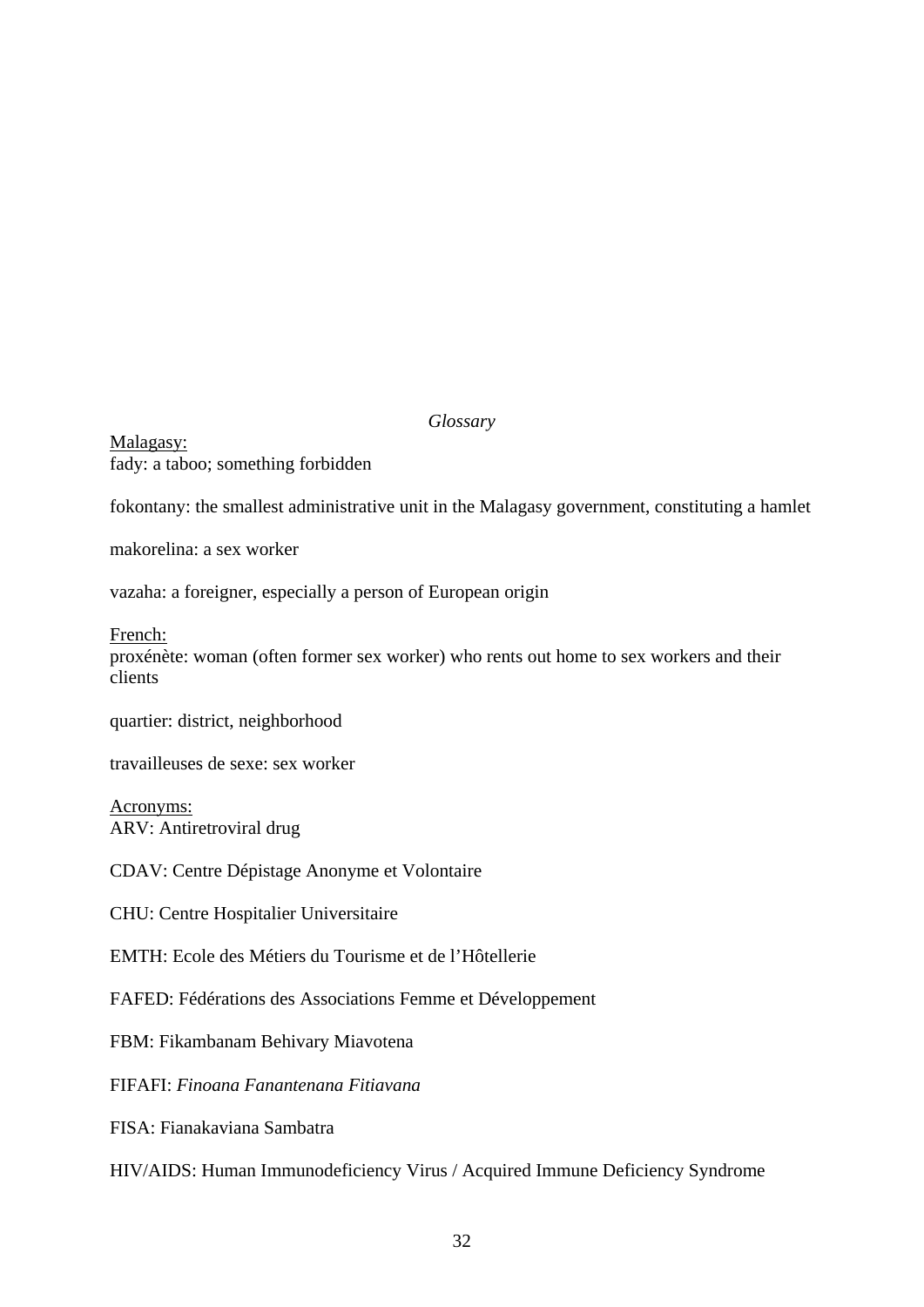*Glossary* 

Malagasy: fady: a taboo; something forbidden

fokontany: the smallest administrative unit in the Malagasy government, constituting a hamlet

makorelina: a sex worker

vazaha: a foreigner, especially a person of European origin

French:

proxénète: woman (often former sex worker) who rents out home to sex workers and their clients

quartier: district, neighborhood

travailleuses de sexe: sex worker

Acronyms: ARV: Antiretroviral drug

CDAV: Centre Dépistage Anonyme et Volontaire

CHU: Centre Hospitalier Universitaire

EMTH: Ecole des Métiers du Tourisme et de l'Hôtellerie

FAFED: Fédérations des Associations Femme et Développement

FBM: Fikambanam Behivary Miavotena

FIFAFI: *Finoana Fanantenana Fitiavana*

FISA: Fianakaviana Sambatra

HIV/AIDS: Human Immunodeficiency Virus / Acquired Immune Deficiency Syndrome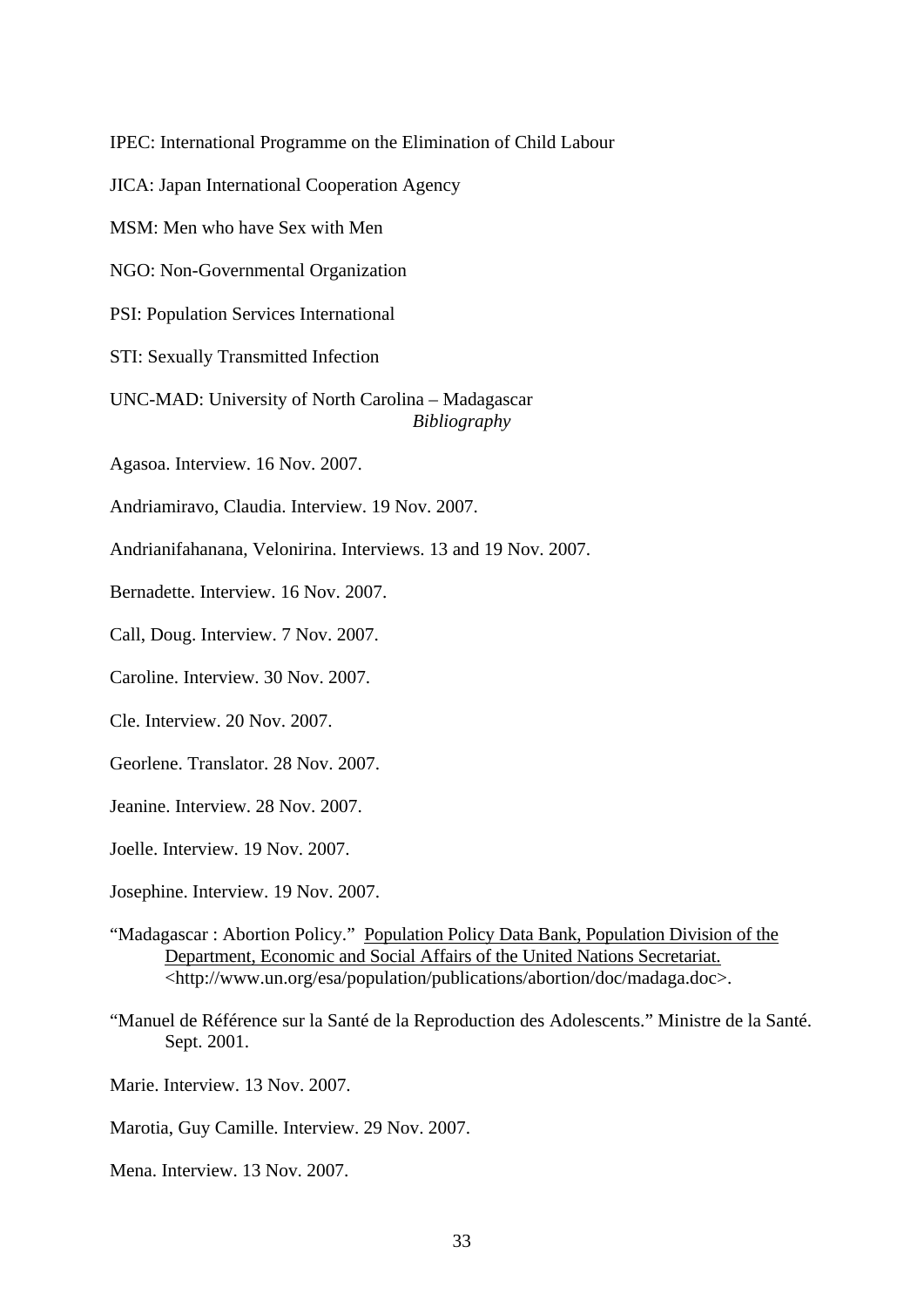IPEC: International Programme on the Elimination of Child Labour

JICA: Japan International Cooperation Agency

MSM: Men who have Sex with Men

NGO: Non-Governmental Organization

PSI: Population Services International

STI: Sexually Transmitted Infection

UNC-MAD: University of North Carolina – Madagascar *Bibliography* 

Agasoa. Interview. 16 Nov. 2007.

Andriamiravo, Claudia. Interview. 19 Nov. 2007.

Andrianifahanana, Velonirina. Interviews. 13 and 19 Nov. 2007.

Bernadette. Interview. 16 Nov. 2007.

Call, Doug. Interview. 7 Nov. 2007.

Caroline. Interview. 30 Nov. 2007.

Cle. Interview. 20 Nov. 2007.

Georlene. Translator. 28 Nov. 2007.

Jeanine. Interview. 28 Nov. 2007.

Joelle. Interview. 19 Nov. 2007.

- Josephine. Interview. 19 Nov. 2007.
- "Madagascar : Abortion Policy." Population Policy Data Bank, Population Division of the Department, Economic and Social Affairs of the United Nations Secretariat. <http://www.un.org/esa/population/publications/abortion/doc/madaga.doc>.
- "Manuel de Référence sur la Santé de la Reproduction des Adolescents." Ministre de la Santé. Sept. 2001.
- Marie. Interview. 13 Nov. 2007.
- Marotia, Guy Camille. Interview. 29 Nov. 2007.
- Mena. Interview. 13 Nov. 2007.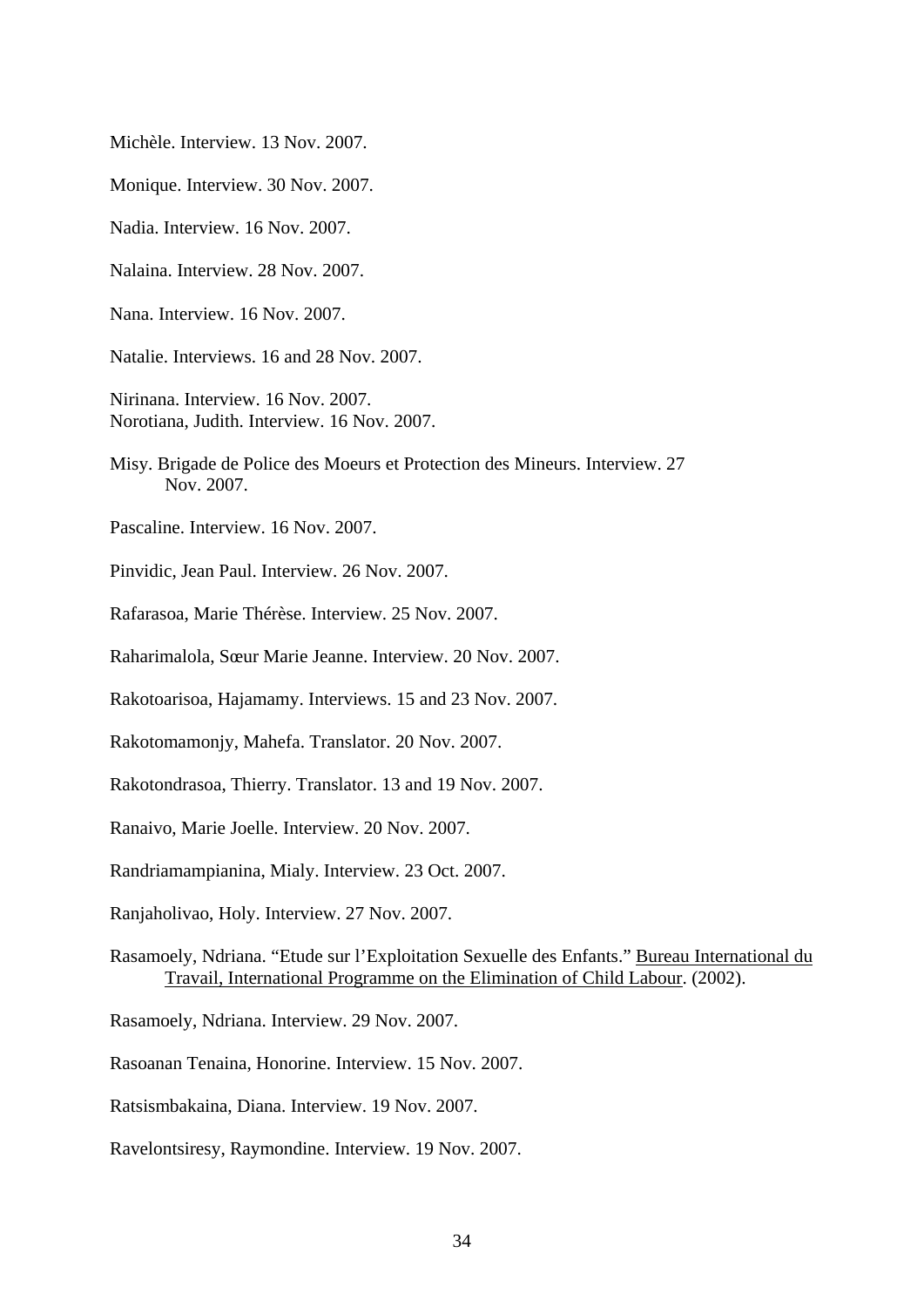Michèle. Interview. 13 Nov. 2007.

Monique. Interview. 30 Nov. 2007.

Nadia. Interview. 16 Nov. 2007.

Nalaina. Interview. 28 Nov. 2007.

Nana. Interview. 16 Nov. 2007.

Natalie. Interviews. 16 and 28 Nov. 2007.

- Nirinana. Interview. 16 Nov. 2007. Norotiana, Judith. Interview. 16 Nov. 2007.
- Misy. Brigade de Police des Moeurs et Protection des Mineurs. Interview. 27 Nov. 2007.
- Pascaline. Interview. 16 Nov. 2007.
- Pinvidic, Jean Paul. Interview. 26 Nov. 2007.
- Rafarasoa, Marie Thérèse. Interview. 25 Nov. 2007.
- Raharimalola, Sœur Marie Jeanne. Interview. 20 Nov. 2007.
- Rakotoarisoa, Hajamamy. Interviews. 15 and 23 Nov. 2007.
- Rakotomamonjy, Mahefa. Translator. 20 Nov. 2007.
- Rakotondrasoa, Thierry. Translator. 13 and 19 Nov. 2007.
- Ranaivo, Marie Joelle. Interview. 20 Nov. 2007.
- Randriamampianina, Mialy. Interview. 23 Oct. 2007.
- Ranjaholivao, Holy. Interview. 27 Nov. 2007.
- Rasamoely, Ndriana. "Etude sur l'Exploitation Sexuelle des Enfants." Bureau International du Travail, International Programme on the Elimination of Child Labour. (2002).
- Rasamoely, Ndriana. Interview. 29 Nov. 2007.
- Rasoanan Tenaina, Honorine. Interview. 15 Nov. 2007.
- Ratsismbakaina, Diana. Interview. 19 Nov. 2007.
- Ravelontsiresy, Raymondine. Interview. 19 Nov. 2007.